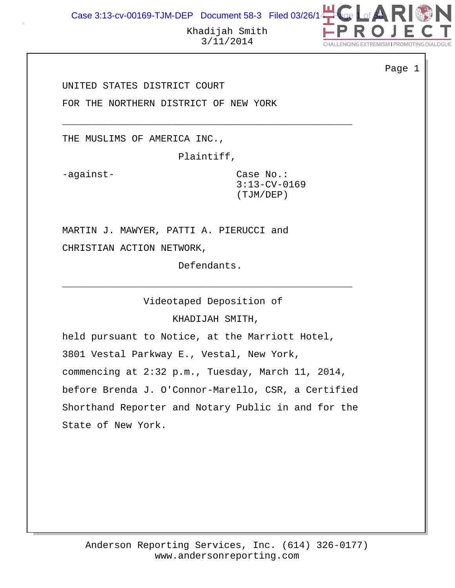Case 3:13-cv-00169-TJM-DEP Document 58-3 Filed 03/26/14



Page 1

Khadijah Smith 3/11/2014

UNITED STATES DISTRICT COURT

FOR THE NORTHERN DISTRICT OF NEW YORK

THE MUSLIMS OF AMERICA INC.,

Plaintiff,

\_\_\_\_\_\_\_\_\_\_\_\_\_\_\_\_\_\_\_\_\_\_\_\_\_\_\_\_\_\_\_\_\_\_\_\_\_\_\_\_\_\_\_\_\_\_\_\_\_\_

-against-<br>
Case No.: 3:13-CV-0169 (TJM/DEP)

MARTIN J. MAWYER, PATTI A. PIERUCCI and CHRISTIAN ACTION NETWORK,

Defendants.

\_\_\_\_\_\_\_\_\_\_\_\_\_\_\_\_\_\_\_\_\_\_\_\_\_\_\_\_\_\_\_\_\_\_\_\_\_\_\_\_\_\_\_\_\_\_\_\_\_\_

Videotaped Deposition of

KHADIJAH SMITH,

held pursuant to Notice, at the Marriott Hotel, 3801 Vestal Parkway E., Vestal, New York, commencing at 2:32 p.m., Tuesday, March 11, 2014, before Brenda J. O'Connor-Marello, CSR, a Certified Shorthand Reporter and Notary Public in and for the State of New York.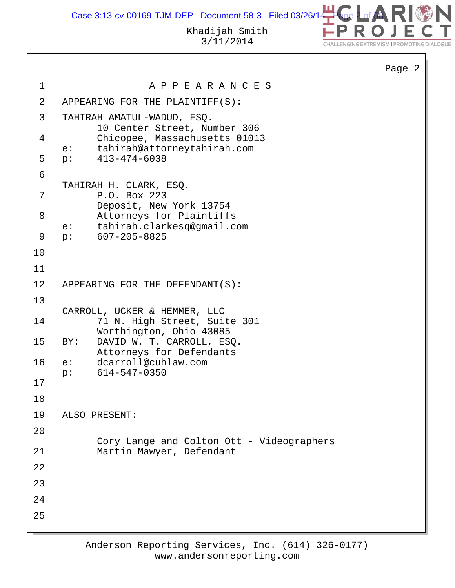Case 3:13-cv-00169-TJM-DEP Document 58-3 Filed 03/26/14  $\bullet$ 



 $\overline{2}$ 

|                |                                                              |                                                                                  | Page |  |  |
|----------------|--------------------------------------------------------------|----------------------------------------------------------------------------------|------|--|--|
| $\mathbf{1}$   |                                                              | A P P E A R A N C E S                                                            |      |  |  |
| $\overline{2}$ | APPEARING FOR THE PLAINTIFF(S):                              |                                                                                  |      |  |  |
| $\mathfrak{Z}$ | TAHIRAH AMATUL-WADUD, ESQ.<br>10 Center Street, Number 306   |                                                                                  |      |  |  |
| 4              | $e$ :                                                        | Chicopee, Massachusetts 01013<br>tahirah@attorneytahirah.com                     |      |  |  |
| 5              |                                                              | $p: 413-474-6038$                                                                |      |  |  |
| 6              |                                                              |                                                                                  |      |  |  |
| 7              |                                                              | TAHIRAH H. CLARK, ESQ.<br>P.O. Box 223<br>Deposit, New York 13754                |      |  |  |
| 8              |                                                              | Attorneys for Plaintiffs<br>e: tahirah.clarkesq@gmail.com                        |      |  |  |
| 9              |                                                              | $p: 607-205-8825$                                                                |      |  |  |
| 10             |                                                              |                                                                                  |      |  |  |
| 11             |                                                              |                                                                                  |      |  |  |
| 12             |                                                              | APPEARING FOR THE DEFENDANT(S):                                                  |      |  |  |
| 13<br>14       | CARROLL, UCKER & HEMMER, LLC<br>71 N. High Street, Suite 301 |                                                                                  |      |  |  |
| 15             | BY:                                                          | Worthington, Ohio 43085<br>DAVID W. T. CARROLL, ESQ.<br>Attorneys for Defendants |      |  |  |
| 16             | p:                                                           | e: dcarroll@cuhlaw.com<br>614-547-0350                                           |      |  |  |
| 17             |                                                              |                                                                                  |      |  |  |
| 18             |                                                              |                                                                                  |      |  |  |
| 19             |                                                              | ALSO PRESENT:                                                                    |      |  |  |
| 20             |                                                              |                                                                                  |      |  |  |
| 21             |                                                              | Cory Lange and Colton Ott - Videographers<br>Martin Mawyer, Defendant            |      |  |  |
| 22             |                                                              |                                                                                  |      |  |  |
| 23             |                                                              |                                                                                  |      |  |  |
| 24             |                                                              |                                                                                  |      |  |  |
| 25             |                                                              |                                                                                  |      |  |  |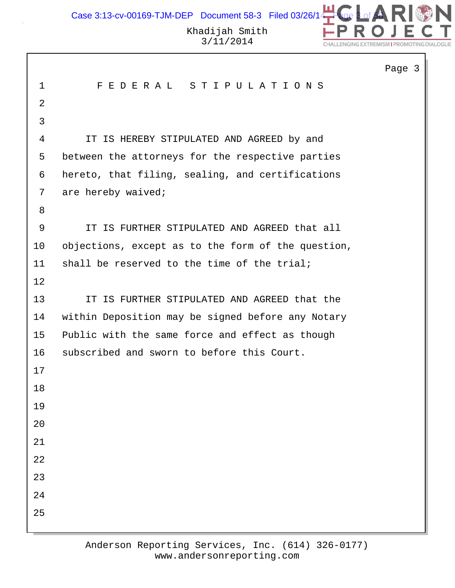Case 3:13-cv-00169-TJM-DEP Document 58-3 Filed 03/26/1 $\begin{array}{|c|c|c|c|c|}\hline \textbf{a} & \textbf{c} & \textbf{c} & \textbf{c} & \textbf{c} & \textbf{c} & \textbf{c} & \textbf{c} & \textbf{c} & \textbf{c} & \textbf{c} & \textbf{c} & \textbf{c} & \textbf{c} & \textbf{c} & \textbf{c} & \textbf{c} & \textbf{c} & \textbf{c} & \textbf{c} & \textbf{c} &$ 



|                |                                                    | Page 3 |
|----------------|----------------------------------------------------|--------|
| $\mathbf{1}$   | FEDERAL STIPULATIONS                               |        |
| $\overline{2}$ |                                                    |        |
| 3              |                                                    |        |
| $\overline{4}$ | IS HEREBY STIPULATED AND AGREED by and<br>IT       |        |
| 5              | between the attorneys for the respective parties   |        |
| 6              | hereto, that filing, sealing, and certifications   |        |
| 7              | are hereby waived;                                 |        |
| 8              |                                                    |        |
| 9              | IT IS FURTHER STIPULATED AND AGREED that all       |        |
| 10             | objections, except as to the form of the question, |        |
| 11             | shall be reserved to the time of the trial;        |        |
| 12             |                                                    |        |
| 13             | IT IS FURTHER STIPULATED AND AGREED that the       |        |
| 14             | within Deposition may be signed before any Notary  |        |
| 15             | Public with the same force and effect as though    |        |
| 16             | subscribed and sworn to before this Court.         |        |
| 17             |                                                    |        |
| 18             |                                                    |        |
| 19             |                                                    |        |
| 20             |                                                    |        |
| 21             |                                                    |        |
| 22             |                                                    |        |
| 23             |                                                    |        |
| 24             |                                                    |        |
| 25             |                                                    |        |
|                |                                                    |        |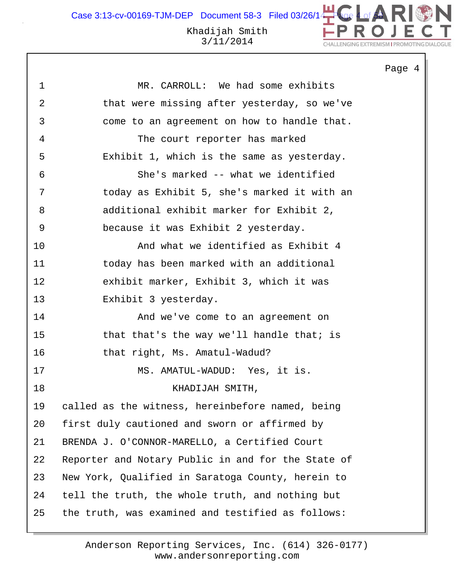Case 3:13-cv-00169-TJM-DEP Document 58-3 Filed 03/26/14

ALLENGING EXTREMISM I PROMOTING D

#### Khadijah Smith 3/11/2014

Page 4 1 MR. CARROLL: We had some exhibits 2 that were missing after yesterday, so we've 3 come to an agreement on how to handle that. 4 The court reporter has marked 5 Exhibit 1, which is the same as yesterday. 6 She's marked -- what we identified 7 today as Exhibit 5, she's marked it with an 8 additional exhibit marker for Exhibit 2, 9 because it was Exhibit 2 yesterday. 10 And what we identified as Exhibit 4 11 today has been marked with an additional 12 exhibit marker, Exhibit 3, which it was 13 Exhibit 3 yesterday. 14 And we've come to an agreement on 15 that that's the way we'll handle that; is 16 that right, Ms. Amatul-Wadud? 17 MS. AMATUL-WADUD: Yes, it is. 18 KHADIJAH SMITH, 19 called as the witness, hereinbefore named, being 20 first duly cautioned and sworn or affirmed by 21 BRENDA J. O'CONNOR-MARELLO, a Certified Court 22 Reporter and Notary Public in and for the State of 23 New York, Qualified in Saratoga County, herein to 24 tell the truth, the whole truth, and nothing but 25 the truth, was examined and testified as follows: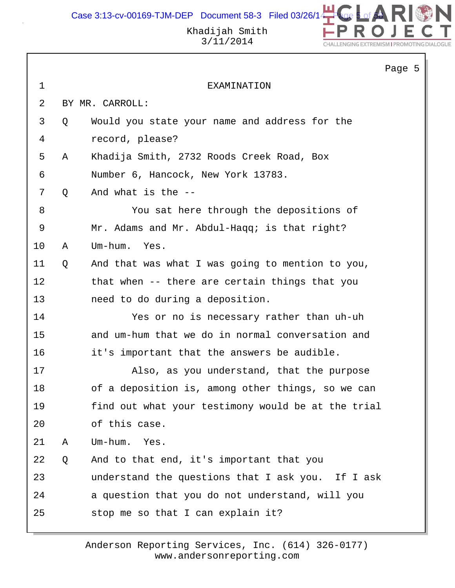Case 3:13-cv-00169-TJM-DEP Document 58-3 Filed 03/26/14  $\bullet$ 



Khadijah Smith 3/11/2014

|             |   |                                                    | Page 5 |  |
|-------------|---|----------------------------------------------------|--------|--|
| $\mathbf 1$ |   | EXAMINATION                                        |        |  |
| 2           |   | BY MR. CARROLL:                                    |        |  |
| 3           | Q | Would you state your name and address for the      |        |  |
| 4           |   | record, please?                                    |        |  |
| 5           | Α | Khadija Smith, 2732 Roods Creek Road, Box          |        |  |
| 6           |   | Number 6, Hancock, New York 13783.                 |        |  |
| 7           | Q | And what is the --                                 |        |  |
| 8           |   | You sat here through the depositions of            |        |  |
| $\mathsf 9$ |   | Mr. Adams and Mr. Abdul-Haqq; is that right?       |        |  |
| 10          | Α | Um-hum.<br>Yes.                                    |        |  |
| 11          | Q | And that was what I was going to mention to you,   |        |  |
| 12          |   | that when -- there are certain things that you     |        |  |
| 13          |   | need to do during a deposition.                    |        |  |
| 14          |   | Yes or no is necessary rather than uh-uh           |        |  |
| 15          |   | and um-hum that we do in normal conversation and   |        |  |
| 16          |   | it's important that the answers be audible.        |        |  |
| 17          |   | Also, as you understand, that the purpose          |        |  |
| 18          |   | of a deposition is, among other things, so we can  |        |  |
| 19          |   | find out what your testimony would be at the trial |        |  |
| 20          |   | of this case.                                      |        |  |
| 21          | Α | Um-hum.<br>Yes.                                    |        |  |
| 22          | Q | And to that end, it's important that you           |        |  |
| 23          |   | understand the questions that I ask you. If I ask  |        |  |
| 24          |   | a question that you do not understand, will you    |        |  |
| 25          |   | stop me so that I can explain it?                  |        |  |
|             |   |                                                    |        |  |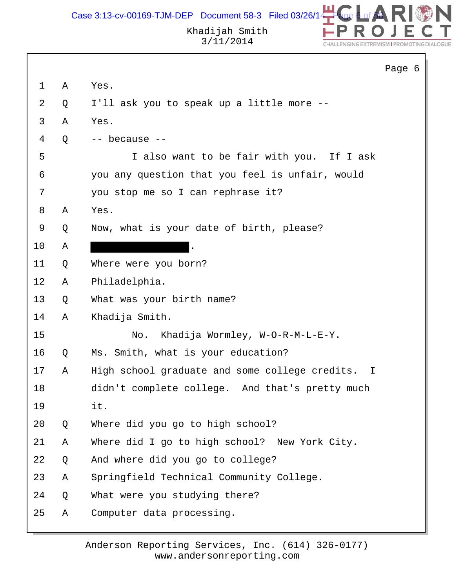

|                |   |                                                  | Page 6 |  |
|----------------|---|--------------------------------------------------|--------|--|
| $\mathbf{1}$   | Α | Yes.                                             |        |  |
| $\overline{2}$ | Q | I'll ask you to speak up a little more --        |        |  |
| 3              | Α | Yes.                                             |        |  |
| 4              | Q | -- because --                                    |        |  |
| 5              |   | I also want to be fair with you. If I ask        |        |  |
| 6              |   | you any question that you feel is unfair, would  |        |  |
| 7              |   | you stop me so I can rephrase it?                |        |  |
| 8              | Α | Yes.                                             |        |  |
| 9              | Q | Now, what is your date of birth, please?         |        |  |
| 10             | Α |                                                  |        |  |
| 11             | Q | Where were you born?                             |        |  |
| 12             | Α | Philadelphia.                                    |        |  |
| 13             | Q | What was your birth name?                        |        |  |
| 14             | Α | Khadija Smith.                                   |        |  |
| 15             |   | Khadija Wormley, W-O-R-M-L-E-Y.<br>No.           |        |  |
| 16             | Q | Ms. Smith, what is your education?               |        |  |
| 17             | Α | High school graduate and some college credits. I |        |  |
| 18             |   | didn't complete college. And that's pretty much  |        |  |
| 19             |   | it.                                              |        |  |
| 20             | Q | Where did you go to high school?                 |        |  |
| 21             | Α | Where did I go to high school? New York City.    |        |  |
| 22             | Q | And where did you go to college?                 |        |  |
| 23             | Α | Springfield Technical Community College.         |        |  |
| 24             | Q | What were you studying there?                    |        |  |
| 25             | Α | Computer data processing.                        |        |  |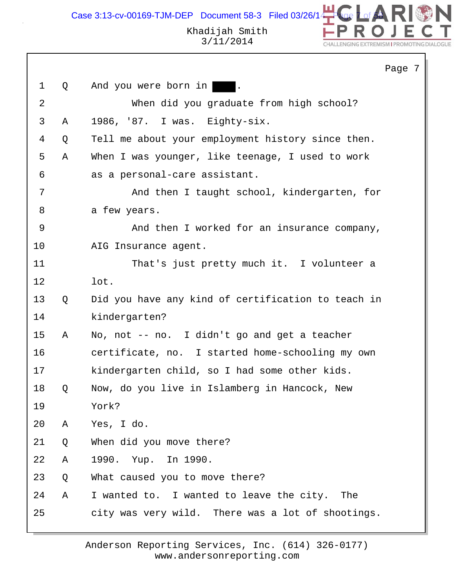Case 3:13-cv-00169-TJM-DEP Document 58-3 Filed 03/26/14  $\begin{array}{|c|c|c|c|c|}\hline \textbf{1} & \textbf{0} & \textbf{0} & \textbf{0} & \textbf{0} & \textbf{0} & \textbf{0} & \textbf{0} & \textbf{0} & \textbf{0} & \textbf{0} & \textbf{0} & \textbf{0} & \textbf{0} & \textbf{0} & \textbf{0} & \textbf{0} & \textbf{0} & \textbf{0} & \textbf{0} & \textbf{0$ 



DN

L

CHALLENGING EXTREMISM I PROMOTING DIALOGUE

|                |   |                                                    | Page 7 |  |
|----------------|---|----------------------------------------------------|--------|--|
| $\mathbf 1$    | Q | And you were born in                               |        |  |
| $\overline{2}$ |   | When did you graduate from high school?            |        |  |
| $\mathsf{3}$   | Α | 1986, '87. I was. Eighty-six.                      |        |  |
| 4              | Q | Tell me about your employment history since then.  |        |  |
| 5              | Α | When I was younger, like teenage, I used to work   |        |  |
| 6              |   | as a personal-care assistant.                      |        |  |
| 7              |   | And then I taught school, kindergarten, for        |        |  |
| 8              |   | a few years.                                       |        |  |
| 9              |   | And then I worked for an insurance company,        |        |  |
| 10             |   | AIG Insurance agent.                               |        |  |
| 11             |   | That's just pretty much it. I volunteer a          |        |  |
| 12             |   | lot.                                               |        |  |
| 13             | Q | Did you have any kind of certification to teach in |        |  |
| 14             |   | kindergarten?                                      |        |  |
| 15             | Α | No, not -- no. I didn't go and get a teacher       |        |  |
| 16             |   | certificate, no. I started home-schooling my own   |        |  |
| 17             |   | kindergarten child, so I had some other kids.      |        |  |
| 18             | Q | Now, do you live in Islamberg in Hancock, New      |        |  |
| 19             |   | York?                                              |        |  |
| 20             | A | Yes, I do.                                         |        |  |
| 21             | Q | When did you move there?                           |        |  |
| 22             | Α | 1990. Yup. In 1990.                                |        |  |
| 23             | Q | What caused you to move there?                     |        |  |
| 24             | A | I wanted to. I wanted to leave the city. The       |        |  |
| 25             |   | city was very wild. There was a lot of shootings.  |        |  |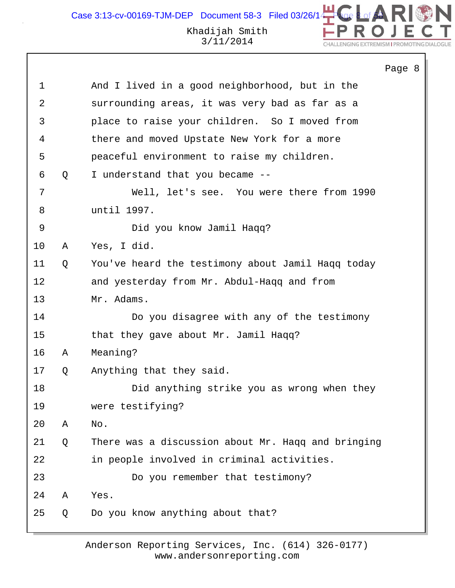Khadijah Smith Case 3:13-cv-00169-TJM-DEP Document 58-3 Filed 03/26/1

3/11/2014

```
Page 8
1 And I lived in a good neighborhood, but in the
2 surrounding areas, it was very bad as far as a
3 place to raise your children. So I moved from
4 there and moved Upstate New York for a more
5 peaceful environment to raise my children.
6 Q I understand that you became --
7 Well, let's see. You were there from 1990
8 until 1997.
9 Did you know Jamil Haqq?
10 A Yes, I did.
11 Q You've heard the testimony about Jamil Haqq today
12 and yesterday from Mr. Abdul-Haqq and from
13 Mr. Adams.
14 Do you disagree with any of the testimony
15 that they gave about Mr. Jamil Haqq?
16 A Meaning?
17 Q Anything that they said.
18 Did anything strike you as wrong when they
19 were testifying?
20 A No.
21 Q There was a discussion about Mr. Haqq and bringing
22 in people involved in criminal activities.
23 Do you remember that testimony?
24 A Yes.
25 Q Do you know anything about that?
```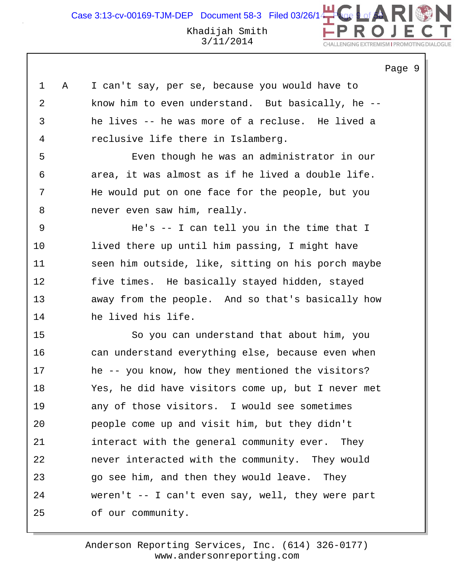Page 9

| 1  | Α | I can't say, per se, because you would have to     |
|----|---|----------------------------------------------------|
| 2  |   | know him to even understand. But basically, he --  |
| 3  |   | he lives -- he was more of a recluse. He lived a   |
| 4  |   | reclusive life there in Islamberg.                 |
| 5  |   | Even though he was an administrator in our         |
| 6  |   | area, it was almost as if he lived a double life.  |
| 7  |   | He would put on one face for the people, but you   |
| 8  |   | never even saw him, really.                        |
| 9  |   | He's $-$ I can tell you in the time that I         |
| 10 |   | lived there up until him passing, I might have     |
| 11 |   | seen him outside, like, sitting on his porch maybe |
| 12 |   | five times. He basically stayed hidden, stayed     |
| 13 |   | away from the people. And so that's basically how  |
| 14 |   | he lived his life.                                 |
| 15 |   | So you can understand that about him, you          |
| 16 |   | can understand everything else, because even when  |
| 17 |   | he -- you know, how they mentioned the visitors?   |
| 18 |   | Yes, he did have visitors come up, but I never met |
| 19 |   | any of those visitors. I would see sometimes       |
| 20 |   | people come up and visit him, but they didn't      |
| 21 |   | interact with the general community ever. They     |
| 22 |   | never interacted with the community. They would    |
| 23 |   | go see him, and then they would leave. They        |
| 24 |   | weren't -- I can't even say, well, they were part  |
| 25 |   | of our community.                                  |
|    |   |                                                    |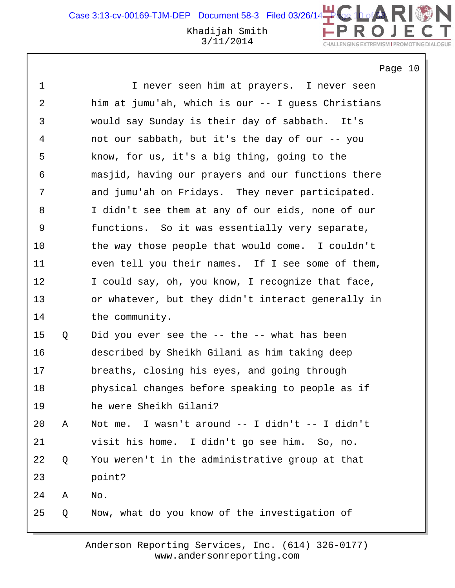Khadijah Smith 3/11/2014

Page 10

CHALLENGING EXTREMISM I PROMOTING DIALOGUE

DN

| 1  |   | I never seen him at prayers. I never seen          |
|----|---|----------------------------------------------------|
| 2  |   | him at jumu'ah, which is our -- I guess Christians |
| 3  |   | would say Sunday is their day of sabbath. It's     |
| 4  |   | not our sabbath, but it's the day of our -- you    |
| 5  |   | know, for us, it's a big thing, going to the       |
| 6  |   | masjid, having our prayers and our functions there |
| 7  |   | and jumu'ah on Fridays. They never participated.   |
| 8  |   | I didn't see them at any of our eids, none of our  |
| 9  |   | functions. So it was essentially very separate,    |
| 10 |   | the way those people that would come. I couldn't   |
| 11 |   | even tell you their names. If I see some of them,  |
| 12 |   | I could say, oh, you know, I recognize that face,  |
| 13 |   | or whatever, but they didn't interact generally in |
| 14 |   | the community.                                     |
| 15 | Q | Did you ever see the -- the -- what has been       |
| 16 |   | described by Sheikh Gilani as him taking deep      |
| 17 |   | breaths, closing his eyes, and going through       |
| 18 |   | physical changes before speaking to people as if   |
| 19 |   | he were Sheikh Gilani?                             |
| 20 | Α | Not me. I wasn't around -- I didn't -- I didn't    |
| 21 |   | visit his home. I didn't go see him.<br>So, no.    |
| 22 | Q | You weren't in the administrative group at that    |
| 23 |   | point?                                             |
| 24 | Α | No.                                                |
| 25 | Q | Now, what do you know of the investigation of      |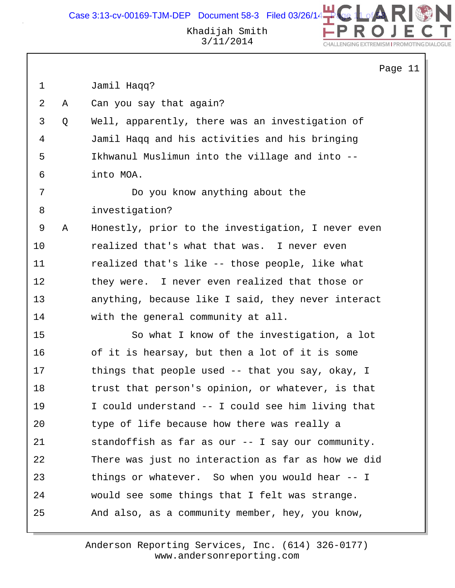Case 3:13-cv-00169-TJM-DEP Document 58-3 Filed 03/26/14



Khadijah Smith 3/11/2014

|             |   |                                                    | Page 11 |
|-------------|---|----------------------------------------------------|---------|
| $\mathbf 1$ |   | Jamil Haqq?                                        |         |
| 2           | Α | Can you say that again?                            |         |
| 3           | Q | Well, apparently, there was an investigation of    |         |
| 4           |   | Jamil Haqq and his activities and his bringing     |         |
| 5           |   | Ikhwanul Muslimun into the village and into --     |         |
| 6           |   | into MOA.                                          |         |
| 7           |   | Do you know anything about the                     |         |
| 8           |   | investigation?                                     |         |
| 9           | Α | Honestly, prior to the investigation, I never even |         |
| 10          |   | realized that's what that was. I never even        |         |
| 11          |   | realized that's like -- those people, like what    |         |
| 12          |   | they were. I never even realized that those or     |         |
| 13          |   | anything, because like I said, they never interact |         |
| 14          |   | with the general community at all.                 |         |
| 15          |   | So what I know of the investigation, a lot         |         |
| 16          |   | of it is hearsay, but then a lot of it is some     |         |
| 17          |   | things that people used -- that you say, okay, I   |         |
| 18          |   | trust that person's opinion, or whatever, is that  |         |
| 19          |   | I could understand -- I could see him living that  |         |
| 20          |   | type of life because how there was really a        |         |
| 21          |   | standoffish as far as our -- I say our community.  |         |
| 22          |   | There was just no interaction as far as how we did |         |
| 23          |   | things or whatever. So when you would hear -- I    |         |
| 24          |   | would see some things that I felt was strange.     |         |
| 25          |   | And also, as a community member, hey, you know,    |         |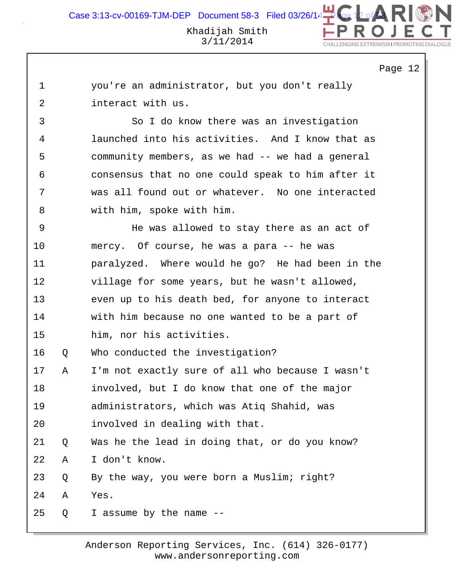Page 12

|                   | you're an administrator, but you don't really |  |  |
|-------------------|-----------------------------------------------|--|--|
| interact with us. |                                               |  |  |

3 So I do know there was an investigation 4 launched into his activities. And I know that as 5 community members, as we had -- we had a general 6 consensus that no one could speak to him after it 7 was all found out or whatever. No one interacted 8 with him, spoke with him.

9 He was allowed to stay there as an act of 10 mercy. Of course, he was a para -- he was 11 paralyzed. Where would he go? He had been in the 12 village for some years, but he wasn't allowed, 13 even up to his death bed, for anyone to interact 14 with him because no one wanted to be a part of 15 him, nor his activities.

16 Q Who conducted the investigation?

17 A I'm not exactly sure of all who because I wasn't 18 involved, but I do know that one of the major 19 administrators, which was Atiq Shahid, was 20 involved in dealing with that. 21 Q Was he the lead in doing that, or do you know? 22 A I don't know.

23 Q By the way, you were born a Muslim; right?

24 A Yes.

25 Q I assume by the name --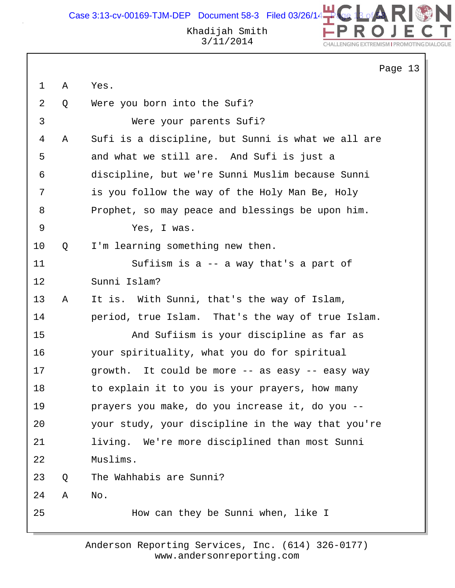

N

CHALLENGING EXTREMISM I PROMOTING DIALOGUE

|             |   | Page 13                                            |
|-------------|---|----------------------------------------------------|
| $\mathbf 1$ | Α | Yes.                                               |
| 2           | Q | Were you born into the Sufi?                       |
| 3           |   | Were your parents Sufi?                            |
| 4           | Α | Sufi is a discipline, but Sunni is what we all are |
| 5           |   | and what we still are. And Sufi is just a          |
| 6           |   | discipline, but we're Sunni Muslim because Sunni   |
| 7           |   | is you follow the way of the Holy Man Be, Holy     |
| 8           |   | Prophet, so may peace and blessings be upon him.   |
| 9           |   | Yes, I was.                                        |
| $10 \,$     | Q | I'm learning something new then.                   |
| 11          |   | Sufiism is a -- a way that's a part of             |
| 12          |   | Sunni Islam?                                       |
| 13          | Α | It is. With Sunni, that's the way of Islam,        |
| 14          |   | period, true Islam. That's the way of true Islam.  |
| 15          |   | And Sufiism is your discipline as far as           |
| 16          |   | your spirituality, what you do for spiritual       |
| 17          |   | growth. It could be more -- as easy -- easy way    |
| 18          |   | to explain it to you is your prayers, how many     |
| 19          |   | prayers you make, do you increase it, do you --    |
| 20          |   | your study, your discipline in the way that you're |
| 21          |   | living. We're more disciplined than most Sunni     |
| 22          |   | Muslims.                                           |
| 23          | Q | The Wahhabis are Sunni?                            |
| 24          | Α | No.                                                |
| 25          |   | How can they be Sunni when, like I                 |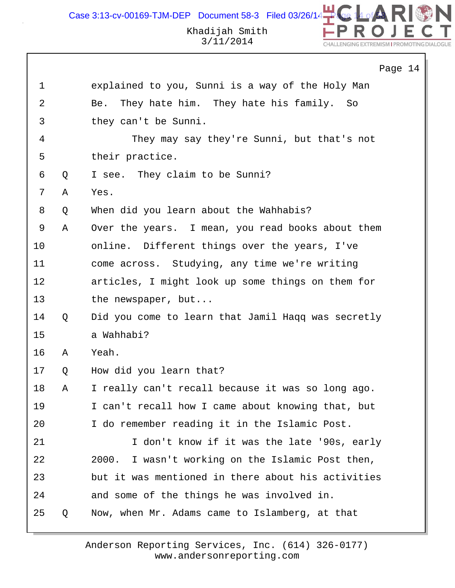DN Case 3:13-cv-00169-TJM-DEP Document 58-3 Filed 03/26/14 $\rightarrow$ Khadijah Smith

3/11/2014

CHALLENGING EXTREMISM I PROMOTING DIAL

|             |   | Page 14                                             |
|-------------|---|-----------------------------------------------------|
| $\mathbf 1$ |   | explained to you, Sunni is a way of the Holy Man    |
| 2           |   | They hate him. They hate his family. So<br>Be.      |
| 3           |   | they can't be Sunni.                                |
| 4           |   | They may say they're Sunni, but that's not          |
| 5           |   | their practice.                                     |
| 6           | Q | I see. They claim to be Sunni?                      |
| 7           | Α | Yes.                                                |
| 8           | Q | When did you learn about the Wahhabis?              |
| 9           | Α | Over the years. I mean, you read books about them   |
| 10          |   | online. Different things over the years, I've       |
| 11          |   | come across. Studying, any time we're writing       |
| 12          |   | articles, I might look up some things on them for   |
| 13          |   | the newspaper, but                                  |
| 14          | Q | Did you come to learn that Jamil Haqq was secretly  |
| 15          |   | a Wahhabi?                                          |
| 16          | Α | Yeah.                                               |
| 17          | Q | How did you learn that?                             |
| 18          | Α | I really can't recall because it was so long ago.   |
| 19          |   | I can't recall how I came about knowing that, but   |
| 20          |   | I do remember reading it in the Islamic Post.       |
| 21          |   | I don't know if it was the late '90s, early         |
| 22          |   | I wasn't working on the Islamic Post then,<br>2000. |
| 23          |   | but it was mentioned in there about his activities  |
| 24          |   | and some of the things he was involved in.          |
| 25          | Q | Now, when Mr. Adams came to Islamberg, at that      |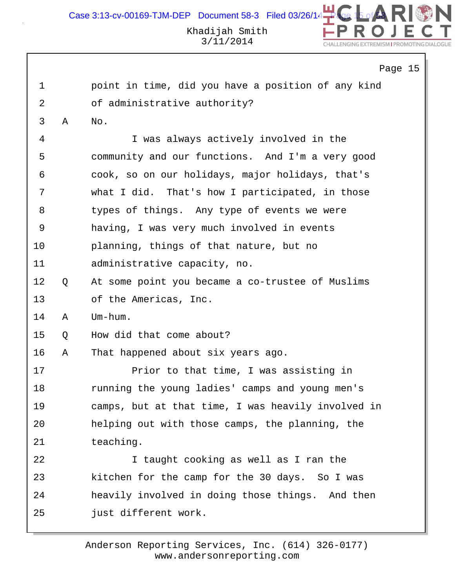|             |   |                                                    | Page 15 |  |
|-------------|---|----------------------------------------------------|---------|--|
| $\mathbf 1$ |   | point in time, did you have a position of any kind |         |  |
| 2           |   | of administrative authority?                       |         |  |
| 3           | Α | No.                                                |         |  |
| 4           |   | I was always actively involved in the              |         |  |
| 5           |   | community and our functions. And I'm a very good   |         |  |
| 6           |   | cook, so on our holidays, major holidays, that's   |         |  |
| 7           |   | what I did. That's how I participated, in those    |         |  |
| 8           |   | types of things. Any type of events we were        |         |  |
| 9           |   | having, I was very much involved in events         |         |  |
| 10          |   | planning, things of that nature, but no            |         |  |
| 11          |   | administrative capacity, no.                       |         |  |
| 12          | Q | At some point you became a co-trustee of Muslims   |         |  |
| 13          |   | of the Americas, Inc.                              |         |  |
| 14          | Α | Um-hum.                                            |         |  |
| 15          | Q | How did that come about?                           |         |  |
| 16          | Α | That happened about six years ago.                 |         |  |
| 17          |   | Prior to that time, I was assisting in             |         |  |
| 18          |   | running the young ladies' camps and young men's    |         |  |
| 19          |   | camps, but at that time, I was heavily involved in |         |  |
| 20          |   | helping out with those camps, the planning, the    |         |  |
| 21          |   | teaching.                                          |         |  |
| 22          |   | I taught cooking as well as I ran the              |         |  |
| 23          |   | kitchen for the camp for the 30 days. So I was     |         |  |
| 24          |   | heavily involved in doing those things. And then   |         |  |
| 25          |   | just different work.                               |         |  |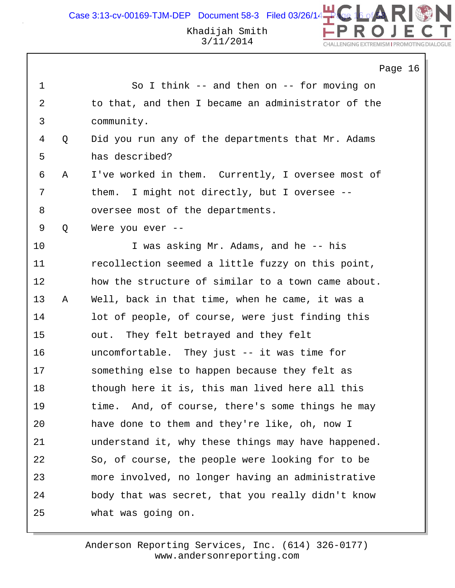Case 3:13-cv-00169-TJM-DEP Document 58-3 Filed 03/26/14

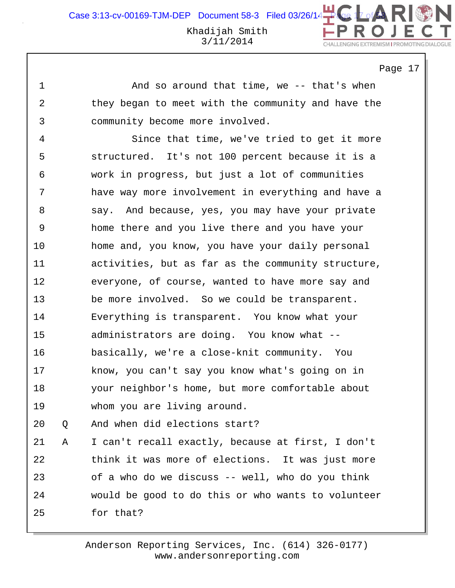Page 17

1 And so around that time, we -- that's when 2 they began to meet with the community and have the 3 community become more involved.

4 Since that time, we've tried to get it more 5 structured. It's not 100 percent because it is a 6 work in progress, but just a lot of communities 7 have way more involvement in everything and have a 8 say. And because, yes, you may have your private 9 home there and you live there and you have your 10 home and, you know, you have your daily personal 11 activities, but as far as the community structure, 12 everyone, of course, wanted to have more say and 13 be more involved. So we could be transparent. 14 Everything is transparent. You know what your 15 administrators are doing. You know what -- 16 basically, we're a close-knit community. You 17 know, you can't say you know what's going on in 18 your neighbor's home, but more comfortable about 19 whom you are living around. 20 Q And when did elections start?

21 A I can't recall exactly, because at first, I don't 22 think it was more of elections. It was just more 23 of a who do we discuss -- well, who do you think 24 would be good to do this or who wants to volunteer 25 for that?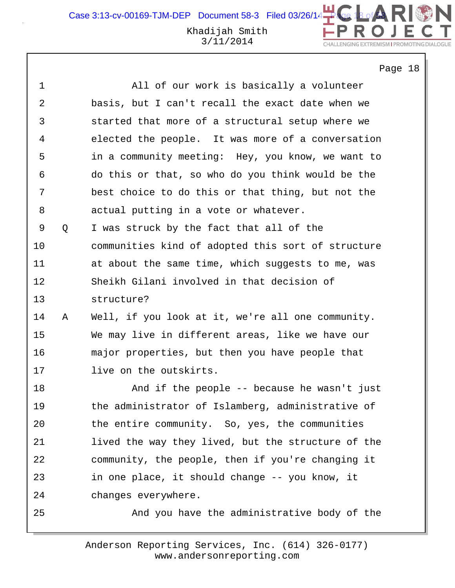Khadijah Smith 3/11/2014

Page 18

CHALLENGING EXTREMISM I PROMOTING DIAL

DN

| 1  |   | All of our work is basically a volunteer           |
|----|---|----------------------------------------------------|
| 2  |   | basis, but I can't recall the exact date when we   |
| 3  |   | started that more of a structural setup where we   |
| 4  |   | elected the people. It was more of a conversation  |
| 5  |   | in a community meeting: Hey, you know, we want to  |
| 6  |   | do this or that, so who do you think would be the  |
| 7  |   | best choice to do this or that thing, but not the  |
| 8  |   | actual putting in a vote or whatever.              |
| 9  | Q | I was struck by the fact that all of the           |
| 10 |   | communities kind of adopted this sort of structure |
| 11 |   | at about the same time, which suggests to me, was  |
| 12 |   | Sheikh Gilani involved in that decision of         |
| 13 |   | structure?                                         |
| 14 | Α | Well, if you look at it, we're all one community.  |
| 15 |   | We may live in different areas, like we have our   |
| 16 |   | major properties, but then you have people that    |
| 17 |   | live on the outskirts.                             |
| 18 |   | And if the people -- because he wasn't just        |
| 19 |   | the administrator of Islamberg, administrative of  |
| 20 |   | the entire community. So, yes, the communities     |
| 21 |   | lived the way they lived, but the structure of the |
| 22 |   | community, the people, then if you're changing it  |
| 23 |   | in one place, it should change -- you know, it     |
| 24 |   | changes everywhere.                                |
| 25 |   | And you have the administrative body of the        |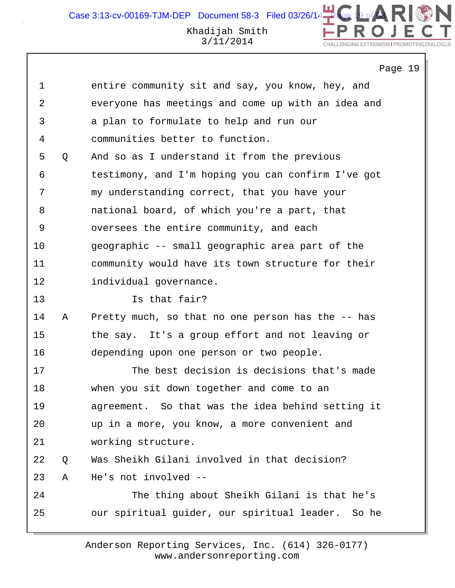CHALLENGING EXTREMISM I PROMOTING DIAL

# 3/11/2014

|    |   | Page 19                                              |
|----|---|------------------------------------------------------|
| 1  |   | entire community sit and say, you know, hey, and     |
| 2  |   | everyone has meetings and come up with an idea and   |
| 3  |   | a plan to formulate to help and run our              |
| 4  |   | communities better to function.                      |
| 5  | Q | And so as I understand it from the previous          |
| 6  |   | testimony, and I'm hoping you can confirm I've got   |
| 7  |   | my understanding correct, that you have your         |
| 8  |   | national board, of which you're a part, that         |
| 9  |   | oversees the entire community, and each              |
| 10 |   | geographic -- small geographic area part of the      |
| 11 |   | community would have its town structure for their    |
| 12 |   | individual governance.                               |
| 13 |   | Is that fair?                                        |
| 14 | Α | Pretty much, so that no one person has the -- has    |
| 15 |   | the say. It's a group effort and not leaving or      |
| 16 |   | depending upon one person or two people.             |
| 17 |   | The best decision is decisions that's made           |
| 18 |   | when you sit down together and come to an            |
| 19 |   | agreement. So that was the idea behind setting it    |
| 20 |   | up in a more, you know, a more convenient and        |
| 21 |   | working structure.                                   |
| 22 | Q | Was Sheikh Gilani involved in that decision?         |
| 23 | Α | He's not involved --                                 |
| 24 |   | The thing about Sheikh Gilani is that he's           |
| 25 |   | our spiritual guider, our spiritual leader.<br>So he |
|    |   |                                                      |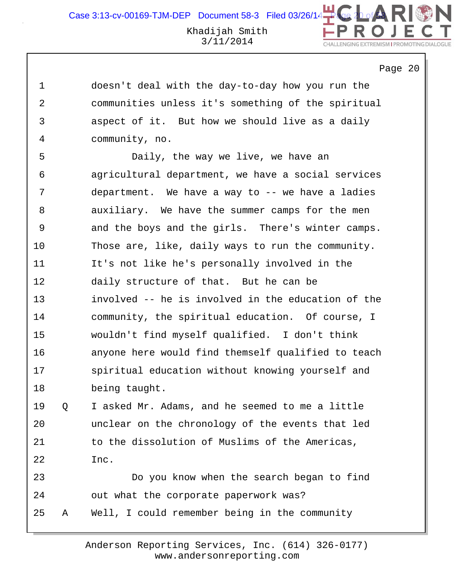Page 20

1 doesn't deal with the day-to-day how you run the 2 communities unless it's something of the spiritual 3 aspect of it. But how we should live as a daily 4 community, no. 5 Daily, the way we live, we have an 6 agricultural department, we have a social services 7 department. We have a way to -- we have a ladies 8 auxiliary. We have the summer camps for the men 9 and the boys and the girls. There's winter camps. 10 Those are, like, daily ways to run the community. 11 It's not like he's personally involved in the 12 daily structure of that. But he can be 13 involved -- he is involved in the education of the 14 community, the spiritual education. Of course, I 15 wouldn't find myself qualified. I don't think 16 anyone here would find themself qualified to teach 17 spiritual education without knowing yourself and 18 being taught. 19 Q I asked Mr. Adams, and he seemed to me a little 20 unclear on the chronology of the events that led 21 to the dissolution of Muslims of the Americas, 22 Inc. 23 Do you know when the search began to find 24 out what the corporate paperwork was? 25 A Well, I could remember being in the community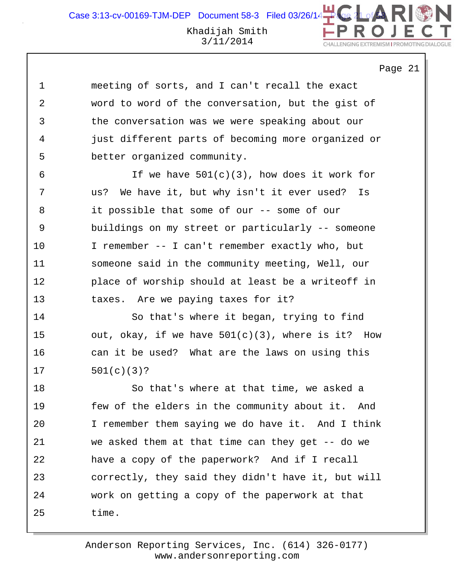Page 21

1 meeting of sorts, and I can't recall the exact 2 word to word of the conversation, but the gist of 3 the conversation was we were speaking about our 4 just different parts of becoming more organized or 5 better organized community.

6 1f we have  $501(c)(3)$ , how does it work for 7 us? We have it, but why isn't it ever used? Is 8 it possible that some of our -- some of our 9 buildings on my street or particularly -- someone 10 I remember -- I can't remember exactly who, but 11 someone said in the community meeting, Well, our 12 place of worship should at least be a writeoff in 13 taxes. Are we paying taxes for it?

14 So that's where it began, trying to find 15 out, okay, if we have  $501(c)(3)$ , where is it? How 16 can it be used? What are the laws on using this 17 501(c)(3)?

18 So that's where at that time, we asked a 19 few of the elders in the community about it. And 20 I remember them saying we do have it. And I think 21 we asked them at that time can they get -- do we 22 have a copy of the paperwork? And if I recall 23 correctly, they said they didn't have it, but will 24 work on getting a copy of the paperwork at that 25 time.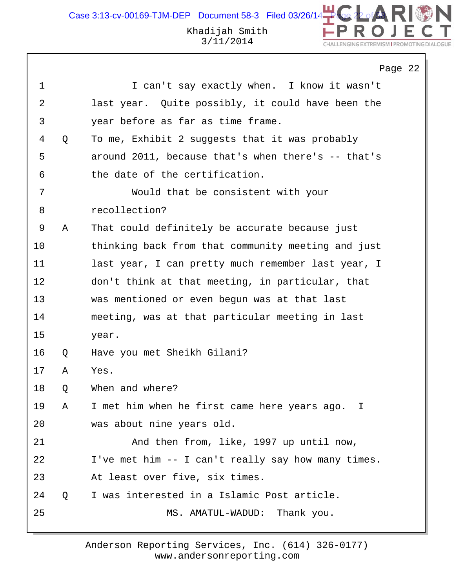# Khadijah Smith 3/11/2014

DN

CHALLENGING EXTREMISM I PROMOTING DIALOGUE

|    |   | Page 22                                            |
|----|---|----------------------------------------------------|
| 1  |   | I can't say exactly when. I know it wasn't         |
| 2  |   | last year. Quite possibly, it could have been the  |
| 3  |   | year before as far as time frame.                  |
| 4  | Q | To me, Exhibit 2 suggests that it was probably     |
| 5  |   | around 2011, because that's when there's -- that's |
| 6  |   | the date of the certification.                     |
| 7  |   | Would that be consistent with your                 |
| 8  |   | recollection?                                      |
| 9  | Α | That could definitely be accurate because just     |
| 10 |   | thinking back from that community meeting and just |
| 11 |   | last year, I can pretty much remember last year, I |
| 12 |   | don't think at that meeting, in particular, that   |
| 13 |   | was mentioned or even begun was at that last       |
| 14 |   | meeting, was at that particular meeting in last    |
| 15 |   | year.                                              |
| 16 | Q | Have you met Sheikh Gilani?                        |
| 17 | Α | Yes.                                               |
| 18 | Q | When and where?                                    |
| 19 | Α | I met him when he first came here years ago. I     |
| 20 |   | was about nine years old.                          |
| 21 |   | And then from, like, 1997 up until now,            |
| 22 |   | I've met him -- I can't really say how many times. |
| 23 |   | At least over five, six times.                     |
| 24 | Q | I was interested in a Islamic Post article.        |
| 25 |   | MS. AMATUL-WADUD: Thank you.                       |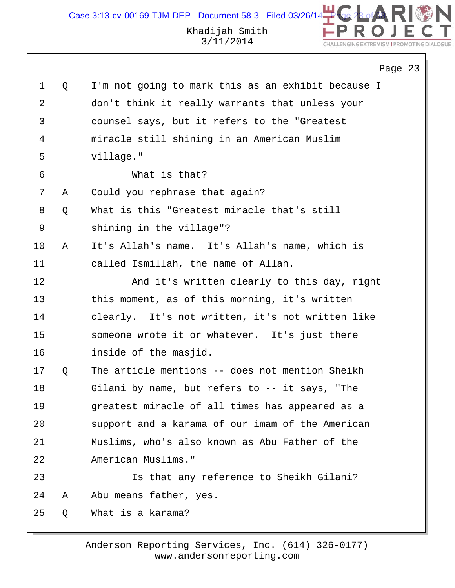N Case 3:13-cv-00169-TJM-DEP Document 58-3 Filed 03/26/14 Khadijah Smith 3/11/2014 CHALLENGING EXTREMISM I PROMOTING DIAL

# Page 23

| $\mathbf 1$    | Q | I'm not going to mark this as an exhibit because I |
|----------------|---|----------------------------------------------------|
| $\overline{a}$ |   | don't think it really warrants that unless your    |
| 3              |   | counsel says, but it refers to the "Greatest       |
| 4              |   | miracle still shining in an American Muslim        |
| 5              |   | village."                                          |
| 6              |   | What is that?                                      |
| 7              | Α | Could you rephrase that again?                     |
| 8              | Q | What is this "Greatest miracle that's still        |
| 9              |   | shining in the village"?                           |
| 10             | Α | It's Allah's name. It's Allah's name, which is     |
| 11             |   | called Ismillah, the name of Allah.                |
| 12             |   | And it's written clearly to this day, right        |
| 13             |   | this moment, as of this morning, it's written      |
| 14             |   | clearly. It's not written, it's not written like   |
| 15             |   | someone wrote it or whatever. It's just there      |
| 16             |   | inside of the masjid.                              |
| 17             | Q | The article mentions -- does not mention Sheikh    |
| 18             |   | Gilani by name, but refers to -- it says, "The     |
| 19             |   | greatest miracle of all times has appeared as a    |
| 20             |   | support and a karama of our imam of the American   |
| 21             |   | Muslims, who's also known as Abu Father of the     |
| 22             |   | American Muslims."                                 |
| 23             |   | Is that any reference to Sheikh Gilani?            |
| 24             | Α | Abu means father, yes.                             |
| 25             | Q | What is a karama?                                  |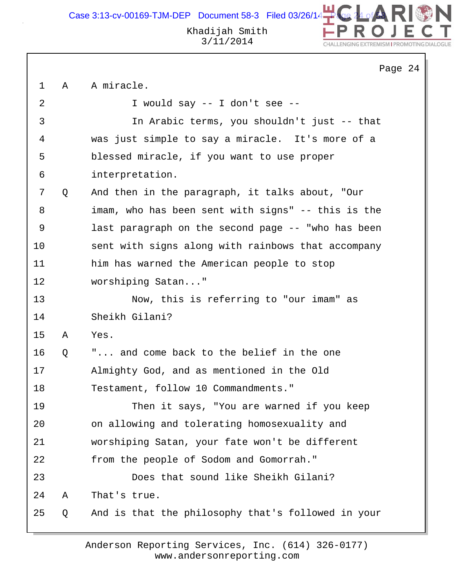Case 3:13-cv-00169-TJM-DEP Document 58-3 Filed 03/26/14



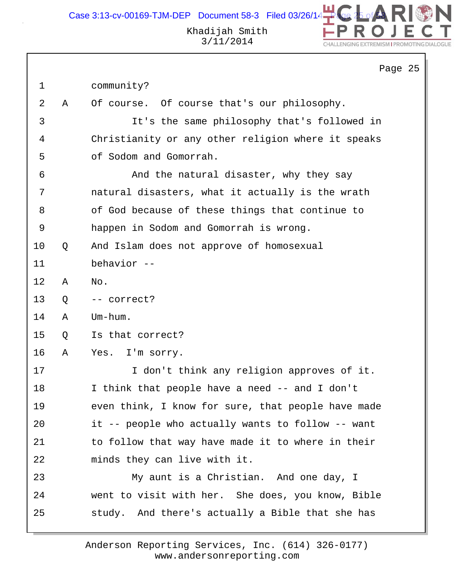|    |   | Page 25                                            |
|----|---|----------------------------------------------------|
| 1  |   | community?                                         |
| 2  | Α | Of course. Of course that's our philosophy.        |
| 3  |   | It's the same philosophy that's followed in        |
| 4  |   | Christianity or any other religion where it speaks |
| 5  |   | of Sodom and Gomorrah.                             |
| 6  |   | And the natural disaster, why they say             |
| 7  |   | natural disasters, what it actually is the wrath   |
| 8  |   | of God because of these things that continue to    |
| 9  |   | happen in Sodom and Gomorrah is wrong.             |
| 10 | Q | And Islam does not approve of homosexual           |
| 11 |   | behavior --                                        |
| 12 | Α | No.                                                |
| 13 | Q | -- correct?                                        |
| 14 | Α | Um-hum.                                            |
| 15 | Q | Is that correct?                                   |
| 16 | Α | I'm sorry.<br>Yes.                                 |
| 17 |   | I don't think any religion approves of it.         |
| 18 |   | I think that people have a need -- and I don't     |
| 19 |   | even think, I know for sure, that people have made |
| 20 |   | it -- people who actually wants to follow -- want  |
| 21 |   | to follow that way have made it to where in their  |
| 22 |   | minds they can live with it.                       |
| 23 |   | My aunt is a Christian. And one day, I             |
| 24 |   | went to visit with her. She does, you know, Bible  |
| 25 |   | study. And there's actually a Bible that she has   |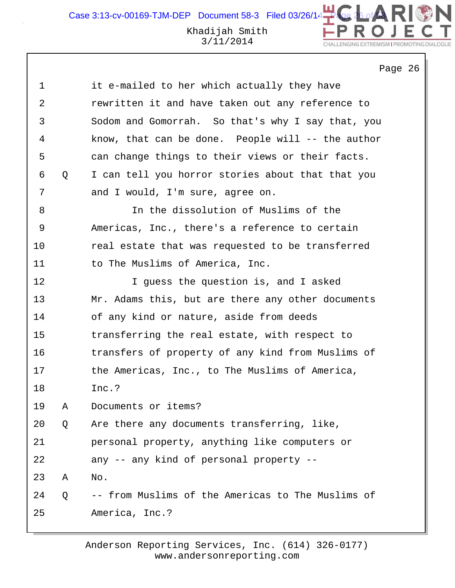Khadijah Smith Case 3:13-cv-00169-TJM-DEP Document 58-3 Filed 03/26/14 $\begin{array}{|l|} \hline \end{array}$ 

3/11/2014

#### CHALLENGING EXTREMISM I PROMOTING DIAL

Page 26

N

| $\mathbf 1$ |   | it e-mailed to her which actually they have       |
|-------------|---|---------------------------------------------------|
| 2           |   | rewritten it and have taken out any reference to  |
| 3           |   | Sodom and Gomorrah. So that's why I say that, you |
| 4           |   | know, that can be done. People will -- the author |
| 5           |   | can change things to their views or their facts.  |
| 6           | Q | I can tell you horror stories about that that you |
| 7           |   | and I would, I'm sure, agree on.                  |
| 8           |   | In the dissolution of Muslims of the              |
| 9           |   | Americas, Inc., there's a reference to certain    |
| 10          |   | real estate that was requested to be transferred  |
| 11          |   | to The Muslims of America, Inc.                   |
| 12          |   | I guess the question is, and I asked              |
| 13          |   | Mr. Adams this, but are there any other documents |
| 14          |   | of any kind or nature, aside from deeds           |
| 15          |   | transferring the real estate, with respect to     |
| 16          |   | transfers of property of any kind from Muslims of |
| 17          |   | the Americas, Inc., to The Muslims of America,    |
| 18          |   | Inc.?                                             |
| 19          | Α | Documents or items?                               |
| 20          | Q | Are there any documents transferring, like,       |
| 21          |   | personal property, anything like computers or     |
| 22          |   | any -- any kind of personal property --           |
| 23          | Α | No.                                               |
| 24          | Q | -- from Muslims of the Americas to The Muslims of |
| 25          |   | America, Inc.?                                    |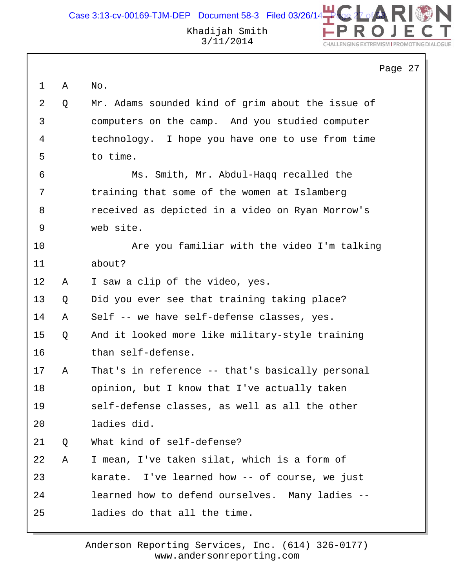DN Case 3:13-cv-00169-TJM-DEP Document 58-3 Filed 03/26/14 $\rightarrow$ Khadijah Smith 3/11/2014 CHALLENGING EXTREMISM I PROMOTING DIAL

|             |   |                                                   | Page 27 |
|-------------|---|---------------------------------------------------|---------|
| $\mathbf 1$ | Α | No.                                               |         |
| 2           | Q | Mr. Adams sounded kind of grim about the issue of |         |
| 3           |   | computers on the camp. And you studied computer   |         |
| 4           |   | technology. I hope you have one to use from time  |         |
| 5           |   | to time.                                          |         |
| 6           |   | Ms. Smith, Mr. Abdul-Haqq recalled the            |         |
| 7           |   | training that some of the women at Islamberg      |         |
| 8           |   | received as depicted in a video on Ryan Morrow's  |         |
| 9           |   | web site.                                         |         |
| 10          |   | Are you familiar with the video I'm talking       |         |
| 11          |   | about?                                            |         |
| 12          | Α | I saw a clip of the video, yes.                   |         |
| 13          | Q | Did you ever see that training taking place?      |         |
| 14          | Α | Self -- we have self-defense classes, yes.        |         |
| 15          | Q | And it looked more like military-style training   |         |
| 16          |   | than self-defense.                                |         |
| 17          | Α | That's in reference -- that's basically personal  |         |
| 18          |   | opinion, but I know that I've actually taken      |         |
| 19          |   | self-defense classes, as well as all the other    |         |
| 20          |   | ladies did.                                       |         |
| 21          | Q | What kind of self-defense?                        |         |
| 22          | Α | I mean, I've taken silat, which is a form of      |         |
| 23          |   | karate. I've learned how -- of course, we just    |         |
| 24          |   | learned how to defend ourselves. Many ladies --   |         |
| 25          |   | ladies do that all the time.                      |         |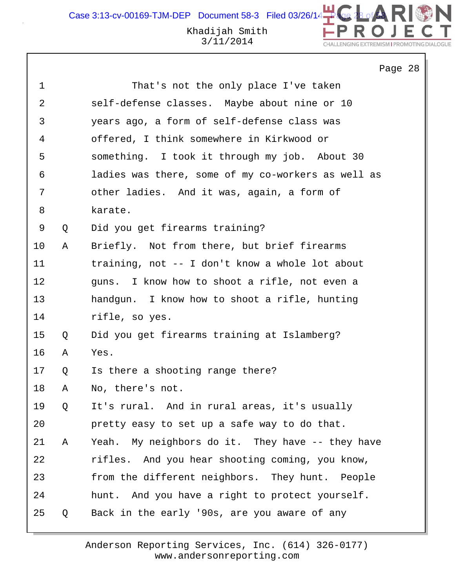# Khadijah Smith 3/11/2014

Page 28

CHALLENGING EXTREMISM I PROMOTING DIAL

| $\mathbf 1$ |   | That's not the only place I've taken               |
|-------------|---|----------------------------------------------------|
| 2           |   | self-defense classes. Maybe about nine or 10       |
| 3           |   | years ago, a form of self-defense class was        |
| 4           |   | offered, I think somewhere in Kirkwood or          |
| 5           |   | something. I took it through my job. About 30      |
| 6           |   | ladies was there, some of my co-workers as well as |
| 7           |   | other ladies. And it was, again, a form of         |
| 8           |   | karate.                                            |
| 9           | Q | Did you get firearms training?                     |
| 10          | Α | Briefly. Not from there, but brief firearms        |
| 11          |   | training, not -- I don't know a whole lot about    |
| 12          |   | guns. I know how to shoot a rifle, not even a      |
| 13          |   | handgun. I know how to shoot a rifle, hunting      |
| 14          |   | rifle, so yes.                                     |
| $15\,$      | Q | Did you get firearms training at Islamberg?        |
| 16          | А | Yes.                                               |
| 17          | Q | Is there a shooting range there?                   |
| 18          | Α | No, there's not.                                   |
| 19          | Q | It's rural. And in rural areas, it's usually       |
| 20          |   | pretty easy to set up a safe way to do that.       |
| 21          | Α | Yeah. My neighbors do it. They have -- they have   |
| 22          |   | rifles. And you hear shooting coming, you know,    |
| 23          |   | from the different neighbors. They hunt. People    |
| 24          |   | hunt. And you have a right to protect yourself.    |
| 25          | Q | Back in the early '90s, are you aware of any       |
|             |   |                                                    |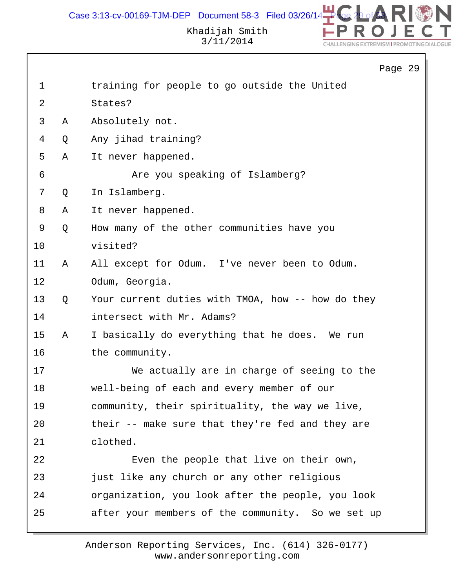

# Khadijah Smith 3/11/2014

|              |   | Page 29                                           |  |
|--------------|---|---------------------------------------------------|--|
| $\mathbf{1}$ |   | training for people to go outside the United      |  |
| 2            |   | States?                                           |  |
| 3            | Α | Absolutely not.                                   |  |
| 4            | Q | Any jihad training?                               |  |
| 5            | Α | It never happened.                                |  |
| 6            |   | Are you speaking of Islamberg?                    |  |
| 7            | Q | In Islamberg.                                     |  |
| 8            | Α | It never happened.                                |  |
| 9            | Q | How many of the other communities have you        |  |
| 10           |   | visited?                                          |  |
| 11           | Α | All except for Odum. I've never been to Odum.     |  |
| 12           |   | Odum, Georgia.                                    |  |
| 13           | Q | Your current duties with TMOA, how -- how do they |  |
| 14           |   | intersect with Mr. Adams?                         |  |
| 15           | Α | I basically do everything that he does. We run    |  |
| 16           |   | the community.                                    |  |
| 17           |   | We actually are in charge of seeing to the        |  |
| 18           |   | well-being of each and every member of our        |  |
| 19           |   | community, their spirituality, the way we live,   |  |
| 20           |   | their -- make sure that they're fed and they are  |  |
| 21           |   | clothed.                                          |  |
| 22           |   | Even the people that live on their own,           |  |
| 23           |   | just like any church or any other religious       |  |
| 24           |   | organization, you look after the people, you look |  |
| 25           |   | after your members of the community. So we set up |  |
|              |   |                                                   |  |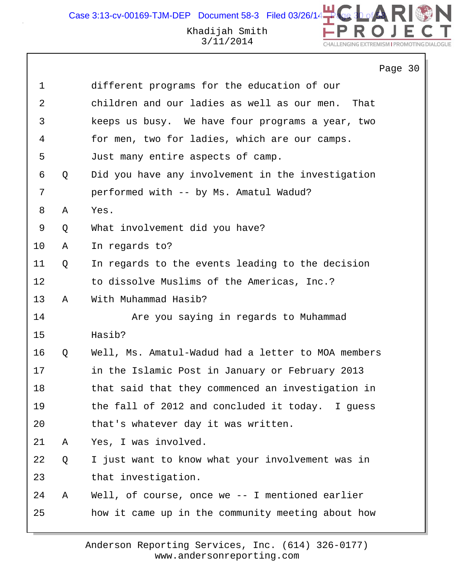DN

CHALLENGING EXTREMISM I PROMOTING DIALOGUE

|             |   | Page 30                                             |
|-------------|---|-----------------------------------------------------|
| $\mathbf 1$ |   | different programs for the education of our         |
| 2           |   | children and our ladies as well as our men.<br>That |
| 3           |   | keeps us busy. We have four programs a year, two    |
| 4           |   | for men, two for ladies, which are our camps.       |
| 5           |   | Just many entire aspects of camp.                   |
| 6           | Q | Did you have any involvement in the investigation   |
| 7           |   | performed with -- by Ms. Amatul Wadud?              |
| 8           | Α | Yes.                                                |
| 9           | Q | What involvement did you have?                      |
| 10          | Α | In regards to?                                      |
| 11          | Q | In regards to the events leading to the decision    |
| 12          |   | to dissolve Muslims of the Americas, Inc.?          |
| 13          | Α | With Muhammad Hasib?                                |
| 14          |   | Are you saying in regards to Muhammad               |
| 15          |   | Hasib?                                              |
| 16          | Q | Well, Ms. Amatul-Wadud had a letter to MOA members  |
| 17          |   | in the Islamic Post in January or February 2013     |
| 18          |   | that said that they commenced an investigation in   |
| 19          |   | the fall of 2012 and concluded it today. I guess    |
| 20          |   | that's whatever day it was written.                 |
| 21          | A | Yes, I was involved.                                |
| 22          | Q | I just want to know what your involvement was in    |
| 23          |   | that investigation.                                 |
| 24          | Α | Well, of course, once we $-$ - I mentioned earlier  |
| 25          |   | how it came up in the community meeting about how   |
|             |   |                                                     |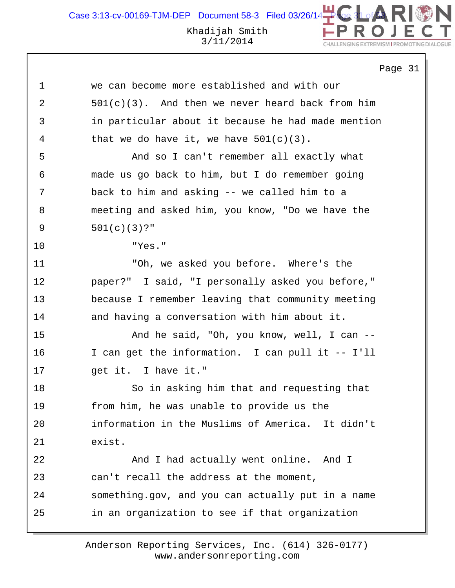DN Case 3:13-cv-00169-TJM-DEP Document 58-3 Filed 03/26/14 $\begin{array}{|l|} \hline \textbf{q} \end{array}$ Khadijah Smith 3/11/2014 CHALLENGING EXTREMISM I PROMOTING DIAL

Page 31

|    | Ρa                                                  |
|----|-----------------------------------------------------|
| 1  | we can become more established and with our         |
| 2  | $501(c)(3)$ . And then we never heard back from him |
| 3  | in particular about it because he had made mention  |
| 4  | that we do have it, we have $501(c)(3)$ .           |
| 5  | And so I can't remember all exactly what            |
| 6  | made us go back to him, but I do remember going     |
| 7  | back to him and asking -- we called him to a        |
| 8  | meeting and asked him, you know, "Do we have the    |
| 9  | $501(c)(3)?$ "                                      |
| 10 | "Yes."                                              |
| 11 | "Oh, we asked you before. Where's the               |
| 12 | paper?" I said, "I personally asked you before,"    |
| 13 | because I remember leaving that community meeting   |
| 14 | and having a conversation with him about it.        |
| 15 | And he said, "Oh, you know, well, I can --          |
| 16 | I can get the information. I can pull it -- I'll    |
| 17 | get it. I have it."                                 |
| 18 | So in asking him that and requesting that           |
| 19 | from him, he was unable to provide us the           |
| 20 | information in the Muslims of America. It didn't    |
| 21 | exist.                                              |
| 22 | And I had actually went online. And I               |
| 23 | can't recall the address at the moment,             |
| 24 | something.gov, and you can actually put in a name   |
| 25 | in an organization to see if that organization      |
|    |                                                     |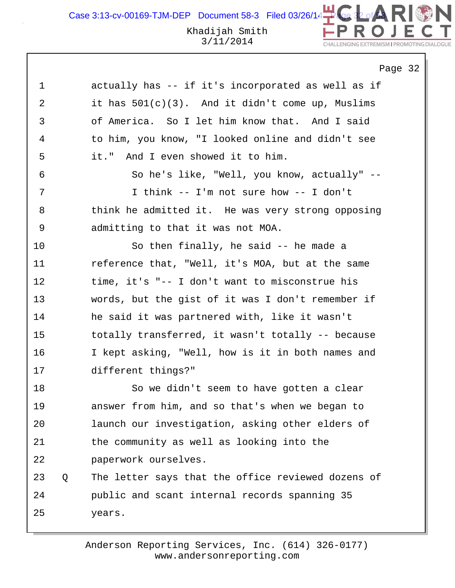Khadijah Smith Case 3:13-cv-00169-TJM-DEP Document 58-3 Filed 03/26/14

LE ENGING EXTREMISM LPPOMOTING P

Page 32 1 actually has -- if it's incorporated as well as if 2 it has 501(c)(3). And it didn't come up, Muslims 3 of America. So I let him know that. And I said 4 to him, you know, "I looked online and didn't see 5 it." And I even showed it to him. 6 So he's like, "Well, you know, actually" -- 7 I think -- I'm not sure how -- I don't 8 think he admitted it. He was very strong opposing 9 admitting to that it was not MOA. 10 So then finally, he said -- he made a 11 reference that, "Well, it's MOA, but at the same 12 time, it's "-- I don't want to misconstrue his 13 words, but the gist of it was I don't remember if 14 he said it was partnered with, like it wasn't 15 totally transferred, it wasn't totally -- because 16 I kept asking, "Well, how is it in both names and 17 different things?" 18 So we didn't seem to have gotten a clear 19 answer from him, and so that's when we began to 20 launch our investigation, asking other elders of 21 the community as well as looking into the 22 paperwork ourselves. 23 Q The letter says that the office reviewed dozens of 24 public and scant internal records spanning 35 25 years.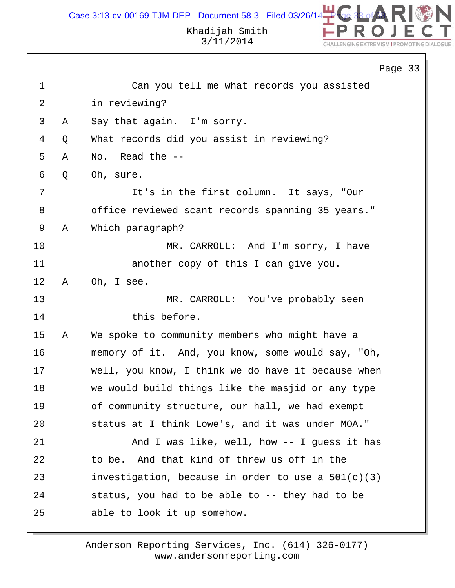

|                |   | Page 33                                              |
|----------------|---|------------------------------------------------------|
| $\mathbf 1$    |   | Can you tell me what records you assisted            |
| $\overline{2}$ |   | in reviewing?                                        |
| 3              | Α | Say that again. I'm sorry.                           |
| 4              | Q | What records did you assist in reviewing?            |
| 5              | Α | Read the --<br>No.                                   |
| 6              | Q | Oh, sure.                                            |
| 7              |   | It's in the first column. It says, "Our              |
| 8              |   | office reviewed scant records spanning 35 years."    |
| $\mathsf 9$    | Α | Which paragraph?                                     |
| 10             |   | MR. CARROLL: And I'm sorry, I have                   |
| 11             |   | another copy of this I can give you.                 |
| 12             | Α | Oh, I see.                                           |
| 13             |   | MR. CARROLL: You've probably seen                    |
| 14             |   | this before.                                         |
| 15             | Α | We spoke to community members who might have a       |
| 16             |   | memory of it. And, you know, some would say, "Oh,    |
| 17             |   | well, you know, I think we do have it because when   |
| 18             |   | we would build things like the masjid or any type    |
| 19             |   | of community structure, our hall, we had exempt      |
| 20             |   | status at I think Lowe's, and it was under MOA."     |
| 21             |   | And I was like, well, how -- I guess it has          |
| 22             |   | to be. And that kind of threw us off in the          |
| 23             |   | investigation, because in order to use a $501(c)(3)$ |
| 24             |   | status, you had to be able to -- they had to be      |
| 25             |   | able to look it up somehow.                          |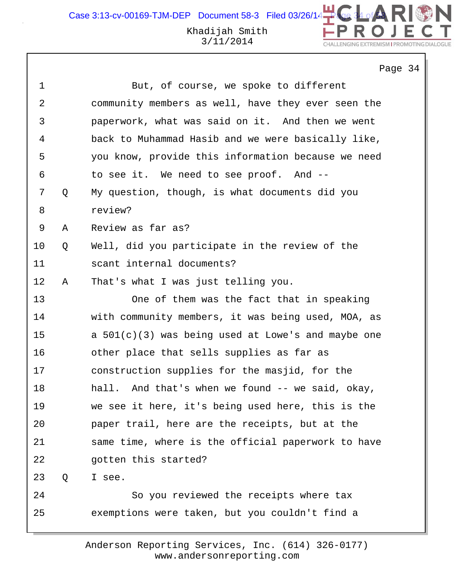Case 3:13-cv-00169-TJM-DEP Document 58-3 Filed 03/26/14

### Khadijah Smith 3/11/2014

Page 34 1 But, of course, we spoke to different 2 community members as well, have they ever seen the 3 paperwork, what was said on it. And then we went 4 back to Muhammad Hasib and we were basically like, 5 you know, provide this information because we need 6 to see it. We need to see proof. And -- 7 Q My question, though, is what documents did you 8 review? 9 A Review as far as? 10 Q Well, did you participate in the review of the 11 scant internal documents? 12 A That's what I was just telling you. 13 One of them was the fact that in speaking 14 with community members, it was being used, MOA, as 15 a 501(c)(3) was being used at Lowe's and maybe one 16 other place that sells supplies as far as 17 construction supplies for the masjid, for the 18 hall. And that's when we found -- we said, okay, 19 we see it here, it's being used here, this is the 20 paper trail, here are the receipts, but at the 21 same time, where is the official paperwork to have 22 gotten this started? 23 Q I see. 24 So you reviewed the receipts where tax 25 exemptions were taken, but you couldn't find a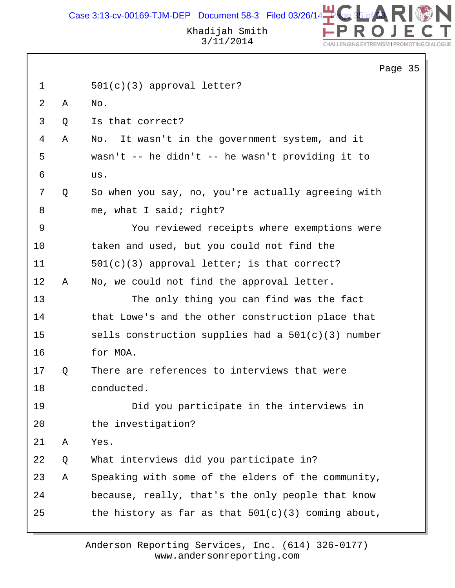Case 3:13-cv-00169-TJM-DEP Document 58-3 Filed 03/26/14 $\begin{array}{|l|} \hline \end{array}$ 



Page 35

## Khadijah Smith 3/11/2014

|             |   |                                                      | Page |
|-------------|---|------------------------------------------------------|------|
| $\mathbf 1$ |   | $501(c)(3)$ approval letter?                         |      |
| 2           | Α | No.                                                  |      |
| 3           | Q | Is that correct?                                     |      |
| 4           | Α | No. It wasn't in the government system, and it       |      |
| 5           |   | wasn't -- he didn't -- he wasn't providing it to     |      |
| 6           |   | us.                                                  |      |
| 7           | Q | So when you say, no, you're actually agreeing with   |      |
| 8           |   | me, what I said; right?                              |      |
| 9           |   | You reviewed receipts where exemptions were          |      |
| 10          |   | taken and used, but you could not find the           |      |
| 11          |   | $501(c)(3)$ approval letter; is that correct?        |      |
| 12          | A | No, we could not find the approval letter.           |      |
| 13          |   | The only thing you can find was the fact             |      |
| 14          |   | that Lowe's and the other construction place that    |      |
| 15          |   | sells construction supplies had a $501(c)(3)$ number |      |
| 16          |   | for MOA.                                             |      |
| 17          | Q | There are references to interviews that were         |      |
| 18          |   | conducted.                                           |      |
| 19          |   | Did you participate in the interviews in             |      |
| 20          |   | the investigation?                                   |      |
| 21          | Α | Yes.                                                 |      |
| 22          | Q | What interviews did you participate in?              |      |
| 23          | Α | Speaking with some of the elders of the community,   |      |
| 24          |   | because, really, that's the only people that know    |      |
| 25          |   | the history as far as that $501(c)(3)$ coming about, |      |
|             |   |                                                      |      |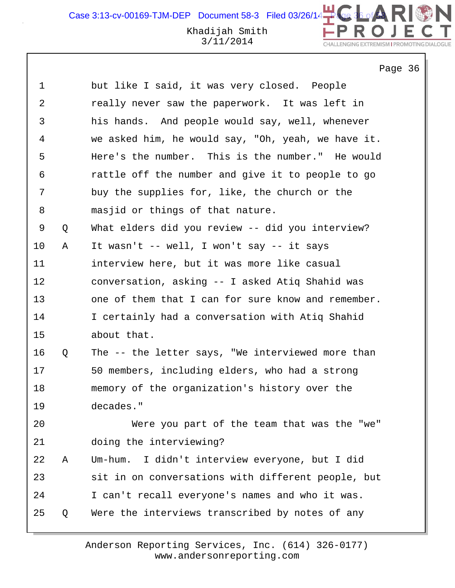Case 3:13-cv-00169-TJM-DEP Document 58-3 Filed 03/26/14 $\begin{array}{c} \Box \Box \ \Box \ \end{array}$ 

# Khadijah Smith 3/11/2014

Page 36

CHALLENGING EXTREMISM I PROMOTING DIAL

DN

| 1  |   | but like I said, it was very closed. People        |
|----|---|----------------------------------------------------|
| 2  |   | really never saw the paperwork. It was left in     |
| 3  |   | his hands. And people would say, well, whenever    |
| 4  |   | we asked him, he would say, "Oh, yeah, we have it. |
| 5  |   | Here's the number. This is the number." He would   |
| 6  |   | rattle off the number and give it to people to go  |
| 7  |   | buy the supplies for, like, the church or the      |
| 8  |   | masjid or things of that nature.                   |
| 9  | Q | What elders did you review -- did you interview?   |
| 10 | Α | It wasn't -- well, I won't say -- it says          |
| 11 |   | interview here, but it was more like casual        |
| 12 |   | conversation, asking -- I asked Atiq Shahid was    |
| 13 |   | one of them that I can for sure know and remember. |
| 14 |   | I certainly had a conversation with Atiq Shahid    |
| 15 |   | about that.                                        |
| 16 | Q | The -- the letter says, "We interviewed more than  |
| 17 |   | 50 members, including elders, who had a strong     |
| 18 |   | memory of the organization's history over the      |
| 19 |   | decades."                                          |
| 20 |   | Were you part of the team that was the "we"        |
| 21 |   | doing the interviewing?                            |
| 22 | Α | I didn't interview everyone, but I did<br>Um-hum.  |
| 23 |   | sit in on conversations with different people, but |
| 24 |   | I can't recall everyone's names and who it was.    |
| 25 | Q | Were the interviews transcribed by notes of any    |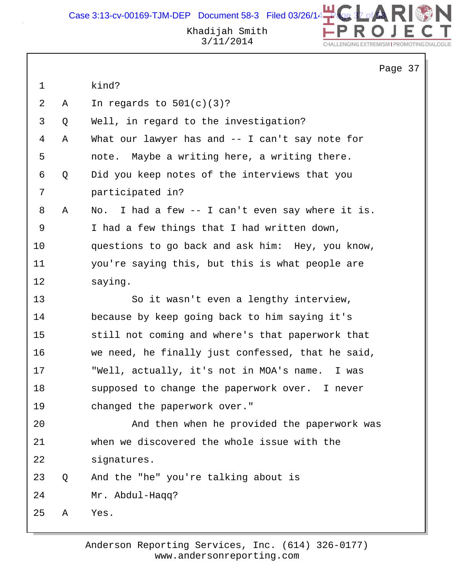

N

CHALLENGING EXTREMISM I PROMOTING DIALOGUE

|             |   |                                                   | Page 37 |  |
|-------------|---|---------------------------------------------------|---------|--|
| $\mathbf 1$ |   | kind?                                             |         |  |
| 2           | Α | In regards to $501(c)(3)?$                        |         |  |
| 3           | Q | Well, in regard to the investigation?             |         |  |
| 4           | Α | What our lawyer has and -- I can't say note for   |         |  |
| 5           |   | note. Maybe a writing here, a writing there.      |         |  |
| 6           | Q | Did you keep notes of the interviews that you     |         |  |
| 7           |   | participated in?                                  |         |  |
| 8           | Α | No. I had a few -- I can't even say where it is.  |         |  |
| 9           |   | I had a few things that I had written down,       |         |  |
| 10          |   | questions to go back and ask him: Hey, you know,  |         |  |
| 11          |   | you're saying this, but this is what people are   |         |  |
| 12          |   | saying.                                           |         |  |
| 13          |   | So it wasn't even a lengthy interview,            |         |  |
| 14          |   | because by keep going back to him saying it's     |         |  |
| 15          |   | still not coming and where's that paperwork that  |         |  |
| 16          |   | we need, he finally just confessed, that he said, |         |  |
| 17          |   | "Well, actually, it's not in MOA's name. I was    |         |  |
| 18          |   | supposed to change the paperwork over. I never    |         |  |
| 19          |   | changed the paperwork over."                      |         |  |
| 20          |   | And then when he provided the paperwork was       |         |  |
| 21          |   | when we discovered the whole issue with the       |         |  |
| 22          |   | signatures.                                       |         |  |
| 23          | Q | And the "he" you're talking about is              |         |  |
| 24          |   | Mr. Abdul-Haqq?                                   |         |  |
| 25          | Α | Yes.                                              |         |  |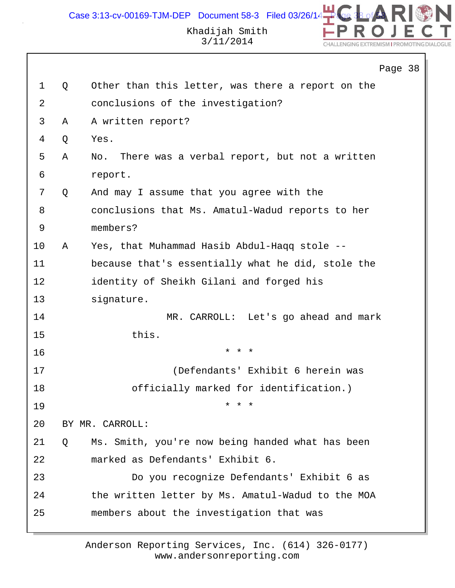Case  $3:13$ -cv-00169-TJM-DEP Document 58-3 Filed 03/26/14



ALL ENGING EXTREMISM LPPOMOTING DIA

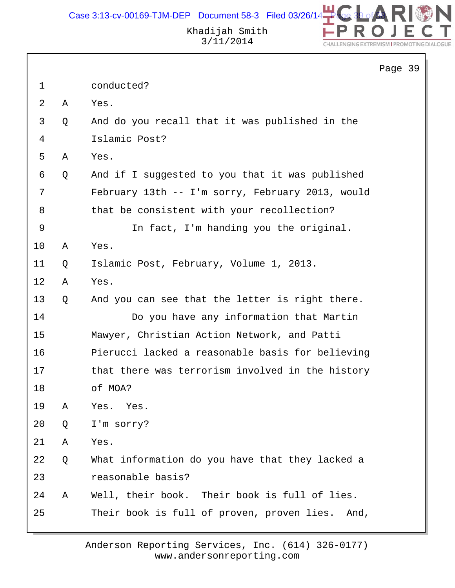

Khadijah Smith 3/11/2014

|             |   |                                                  | Page 39 |  |
|-------------|---|--------------------------------------------------|---------|--|
| $\mathbf 1$ |   | conducted?                                       |         |  |
| 2           | Α | Yes.                                             |         |  |
| 3           | Q | And do you recall that it was published in the   |         |  |
| 4           |   | Islamic Post?                                    |         |  |
| 5           | Α | Yes.                                             |         |  |
| 6           | Q | And if I suggested to you that it was published  |         |  |
| 7           |   | February 13th -- I'm sorry, February 2013, would |         |  |
| 8           |   | that be consistent with your recollection?       |         |  |
| 9           |   | In fact, I'm handing you the original.           |         |  |
| 10          | Α | Yes.                                             |         |  |
| 11          | Q | Islamic Post, February, Volume 1, 2013.          |         |  |
| 12          | Α | Yes.                                             |         |  |
| 13          | Q | And you can see that the letter is right there.  |         |  |
| 14          |   | Do you have any information that Martin          |         |  |
| 15          |   | Mawyer, Christian Action Network, and Patti      |         |  |
| 16          |   | Pierucci lacked a reasonable basis for believing |         |  |
| 17          |   | that there was terrorism involved in the history |         |  |
| 18          |   | of MOA?                                          |         |  |
| 19          | Α | Yes. Yes.                                        |         |  |
| 20          | Q | I'm sorry?                                       |         |  |
| 21          | Α | Yes.                                             |         |  |
| 22          | Q | What information do you have that they lacked a  |         |  |
| 23          |   | reasonable basis?                                |         |  |
| 24          | Α | Well, their book. Their book is full of lies.    |         |  |
| 25          |   | Their book is full of proven, proven lies. And,  |         |  |
|             |   |                                                  |         |  |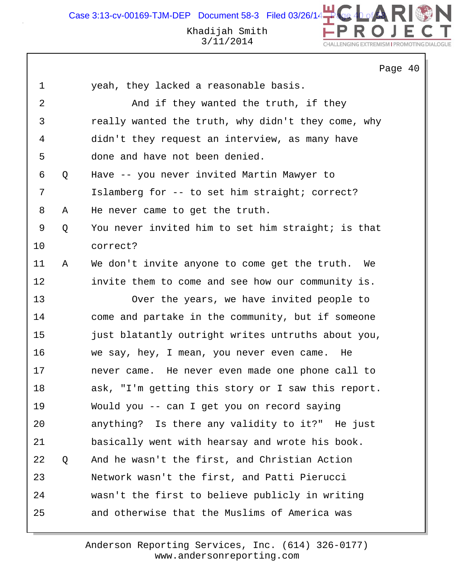Case 3:13-cv-00169-TJM-DEP Document 58-3 Filed 03/26/14 Khadijah Smith 3/11/2014 **NI ENGING EYTPEMICM LPPOMOTING D** 

Page 40 1 yeah, they lacked a reasonable basis. 2 And if they wanted the truth, if they 3 really wanted the truth, why didn't they come, why 4 didn't they request an interview, as many have 5 done and have not been denied. 6 Q Have -- you never invited Martin Mawyer to 7 Islamberg for -- to set him straight; correct? 8 A He never came to get the truth. 9 Q You never invited him to set him straight; is that 10 correct? 11 A We don't invite anyone to come get the truth. We 12 invite them to come and see how our community is. 13 Over the years, we have invited people to 14 come and partake in the community, but if someone 15 just blatantly outright writes untruths about you, 16 we say, hey, I mean, you never even came. He 17 never came. He never even made one phone call to 18 ask, "I'm getting this story or I saw this report. 19 Would you -- can I get you on record saying 20 anything? Is there any validity to it?" He just 21 basically went with hearsay and wrote his book. 22 Q And he wasn't the first, and Christian Action 23 Network wasn't the first, and Patti Pierucci 24 wasn't the first to believe publicly in writing 25 and otherwise that the Muslims of America was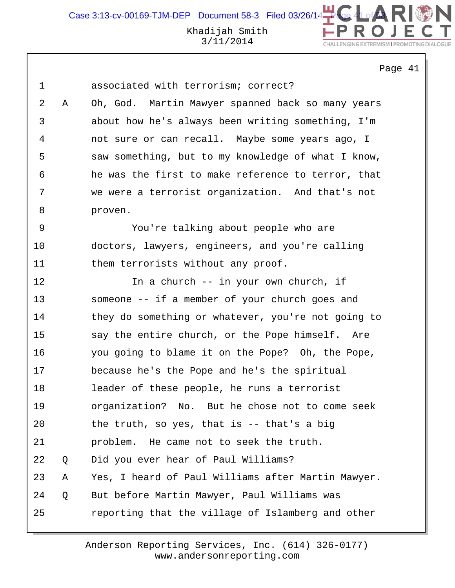3/11/2014

#### CHALLENGING EXTREMISM I PROMOTING DIAL

Page 41

DN

| $\mathbf 1$    |   | associated with terrorism; correct?                |
|----------------|---|----------------------------------------------------|
| $\overline{2}$ | Α | Oh, God. Martin Mawyer spanned back so many years  |
| $\mathsf{3}$   |   | about how he's always been writing something, I'm  |
| 4              |   | not sure or can recall. Maybe some years ago, I    |
| 5              |   | saw something, but to my knowledge of what I know, |
| 6              |   | he was the first to make reference to terror, that |
| 7              |   | we were a terrorist organization. And that's not   |
| 8              |   | proven.                                            |
| 9              |   | You're talking about people who are                |
| 10             |   | doctors, lawyers, engineers, and you're calling    |
| 11             |   | them terrorists without any proof.                 |
| 12             |   | In a church -- in your own church, if              |
| 13             |   | someone -- if a member of your church goes and     |
| 14             |   | they do something or whatever, you're not going to |
| 15             |   | say the entire church, or the Pope himself. Are    |
| 16             |   | you going to blame it on the Pope? Oh, the Pope,   |
| 17             |   | because he's the Pope and he's the spiritual       |
| 18             |   | leader of these people, he runs a terrorist        |
| 19             |   | organization? No. But he chose not to come seek    |
| 20             |   | the truth, so yes, that is $-$ that's a big        |
| 21             |   | problem. He came not to seek the truth.            |
| 22             | Q | Did you ever hear of Paul Williams?                |
| 23             | Α | Yes, I heard of Paul Williams after Martin Mawyer. |
| 24             | Q | But before Martin Mawyer, Paul Williams was        |
| 25             |   | reporting that the village of Islamberg and other  |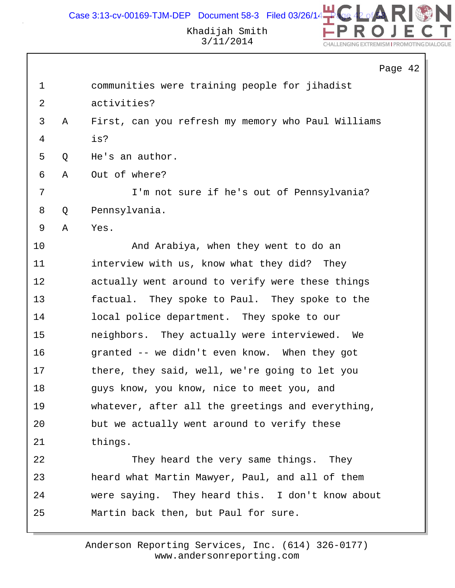

# Khadijah Smith 3/11/2014

|             |   | Page 42                                            |
|-------------|---|----------------------------------------------------|
| $\mathbf 1$ |   | communities were training people for jihadist      |
| 2           |   | activities?                                        |
| 3           | Α | First, can you refresh my memory who Paul Williams |
| 4           |   | is?                                                |
| 5           | Q | He's an author.                                    |
| 6           | Α | Out of where?                                      |
| 7           |   | I'm not sure if he's out of Pennsylvania?          |
| 8           | Q | Pennsylvania.                                      |
| 9           | Α | Yes.                                               |
| 10          |   | And Arabiya, when they went to do an               |
| 11          |   | interview with us, know what they did? They        |
| 12          |   | actually went around to verify were these things   |
| 13          |   | factual. They spoke to Paul. They spoke to the     |
| 14          |   | local police department. They spoke to our         |
| 15          |   | neighbors. They actually were interviewed. We      |
| 16          |   | granted -- we didn't even know. When they got      |
| 17          |   | there, they said, well, we're going to let you     |
| 18          |   | guys know, you know, nice to meet you, and         |
| 19          |   | whatever, after all the greetings and everything,  |
| 20          |   | but we actually went around to verify these        |
| 21          |   | things.                                            |
| 22          |   | They heard the very same things. They              |
| 23          |   | heard what Martin Mawyer, Paul, and all of them    |
| 24          |   | were saying. They heard this. I don't know about   |
| 25          |   | Martin back then, but Paul for sure.               |
|             |   |                                                    |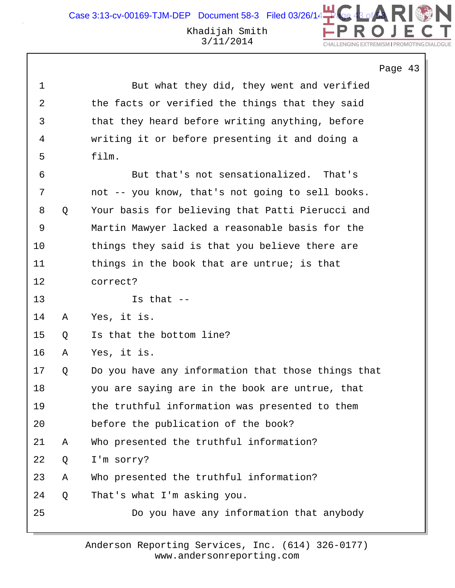```
Page 43
```

| 1  |   | But what they did, they went and verified          |
|----|---|----------------------------------------------------|
| 2  |   | the facts or verified the things that they said    |
| 3  |   | that they heard before writing anything, before    |
| 4  |   | writing it or before presenting it and doing a     |
| 5  |   | film.                                              |
| 6  |   | But that's not sensationalized. That's             |
| 7  |   | not -- you know, that's not going to sell books.   |
| 8  | Q | Your basis for believing that Patti Pierucci and   |
| 9  |   | Martin Mawyer lacked a reasonable basis for the    |
| 10 |   | things they said is that you believe there are     |
| 11 |   | things in the book that are untrue; is that        |
| 12 |   | correct?                                           |
| 13 |   | Is that $--$                                       |
| 14 | Α | Yes, it is.                                        |
| 15 | Q | Is that the bottom line?                           |
| 16 | Α | Yes, it is.                                        |
| 17 | Q | Do you have any information that those things that |
| 18 |   | you are saying are in the book are untrue, that    |
| 19 |   | the truthful information was presented to them     |
| 20 |   | before the publication of the book?                |
| 21 | Α | Who presented the truthful information?            |
| 22 | Q | I'm sorry?                                         |
| 23 | Α | Who presented the truthful information?            |
| 24 | Q | That's what I'm asking you.                        |
| 25 |   | Do you have any information that anybody           |
|    |   |                                                    |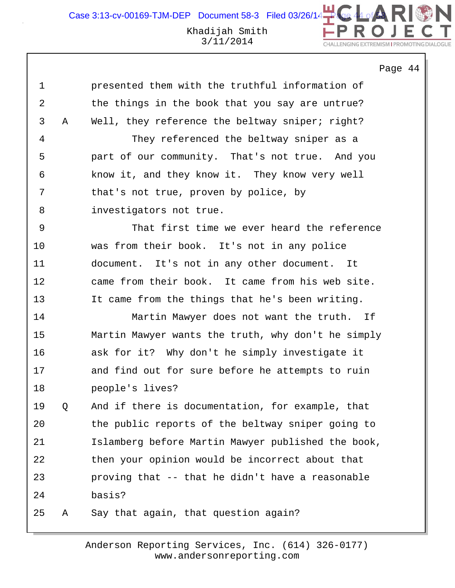Page 44

| 1  |   | presented them with the truthful information of    |
|----|---|----------------------------------------------------|
| 2  |   | the things in the book that you say are untrue?    |
| 3  | Α | Well, they reference the beltway sniper; right?    |
| 4  |   | They referenced the beltway sniper as a            |
| 5  |   | part of our community. That's not true.<br>And you |
| 6  |   | know it, and they know it. They know very well     |
| 7  |   | that's not true, proven by police, by              |
| 8  |   | investigators not true.                            |
| 9  |   | That first time we ever heard the reference        |
| 10 |   | was from their book. It's not in any police        |
| 11 |   | document. It's not in any other document. It       |
| 12 |   | came from their book. It came from his web site.   |
| 13 |   | It came from the things that he's been writing.    |
| 14 |   | Martin Mawyer does not want the truth.<br>Ιf       |
| 15 |   | Martin Mawyer wants the truth, why don't he simply |
| 16 |   | ask for it? Why don't he simply investigate it     |
| 17 |   | and find out for sure before he attempts to ruin   |
| 18 |   | people's lives?                                    |
| 19 | Q | And if there is documentation, for example, that   |
| 20 |   | the public reports of the beltway sniper going to  |
| 21 |   | Islamberg before Martin Mawyer published the book, |
| 22 |   | then your opinion would be incorrect about that    |
| 23 |   | proving that -- that he didn't have a reasonable   |
| 24 |   | basis?                                             |
| 25 | Α | Say that again, that question again?               |
|    |   |                                                    |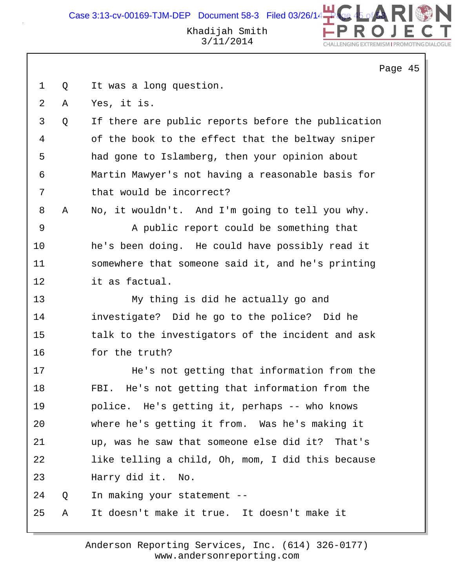# Khadijah Smith 3/11/2014

2N

CHALLENGING EXTREMISM I PROMOTING DIALOGUE

|                |   | Page 45                                            |
|----------------|---|----------------------------------------------------|
| $\mathbf{1}$   | Q | It was a long question.                            |
| $\overline{a}$ | Α | Yes, it is.                                        |
| 3              | Q | If there are public reports before the publication |
| 4              |   | of the book to the effect that the beltway sniper  |
| 5              |   | had gone to Islamberg, then your opinion about     |
| 6              |   | Martin Mawyer's not having a reasonable basis for  |
| 7              |   | that would be incorrect?                           |
| 8              | Α | No, it wouldn't. And I'm going to tell you why.    |
| 9              |   | A public report could be something that            |
| 10             |   | he's been doing. He could have possibly read it    |
| 11             |   | somewhere that someone said it, and he's printing  |
| 12             |   | it as factual.                                     |
| 13             |   | My thing is did he actually go and                 |
| 14             |   | investigate? Did he go to the police? Did he       |
| 15             |   | talk to the investigators of the incident and ask  |
| 16             |   | for the truth?                                     |
| 17             |   | He's not getting that information from the         |
| 18             |   | He's not getting that information from the<br>FBI. |
| 19             |   | police. He's getting it, perhaps -- who knows      |
| 20             |   | where he's getting it from. Was he's making it     |
| 21             |   | up, was he saw that someone else did it? That's    |
| 22             |   | like telling a child, Oh, mom, I did this because  |
| 23             |   | Harry did it. No.                                  |
| 24             | Q | In making your statement --                        |
| 25             | Α | It doesn't make it true. It doesn't make it        |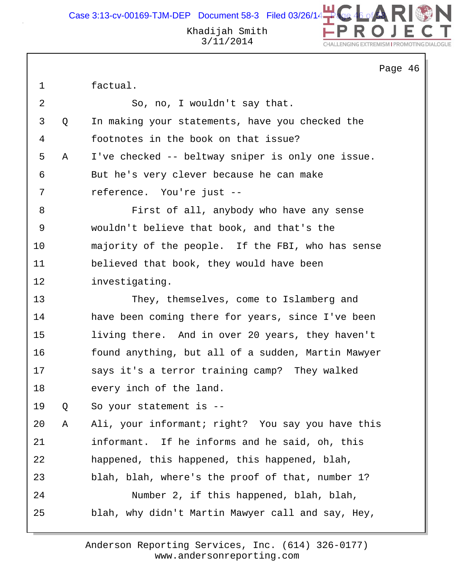Case 3:13-cv-00169-TJM-DEP Document 58-3 Filed 03/26/14

Khadijah Smith 3/11/2014

Page 46 1 factual. 2 So, no, I wouldn't say that. 3 Q In making your statements, have you checked the 4 footnotes in the book on that issue? 5 A I've checked -- beltway sniper is only one issue. 6 But he's very clever because he can make 7 reference. You're just -- 8 First of all, anybody who have any sense 9 wouldn't believe that book, and that's the 10 majority of the people. If the FBI, who has sense 11 believed that book, they would have been 12 investigating. 13 They, themselves, come to Islamberg and 14 have been coming there for years, since I've been 15 living there. And in over 20 years, they haven't 16 found anything, but all of a sudden, Martin Mawyer 17 says it's a terror training camp? They walked 18 every inch of the land. 19 Q So your statement is -- 20 A Ali, your informant; right? You say you have this 21 informant. If he informs and he said, oh, this 22 happened, this happened, this happened, blah, 23 blah, blah, where's the proof of that, number 1? 24 Number 2, if this happened, blah, blah, 25 blah, why didn't Martin Mawyer call and say, Hey,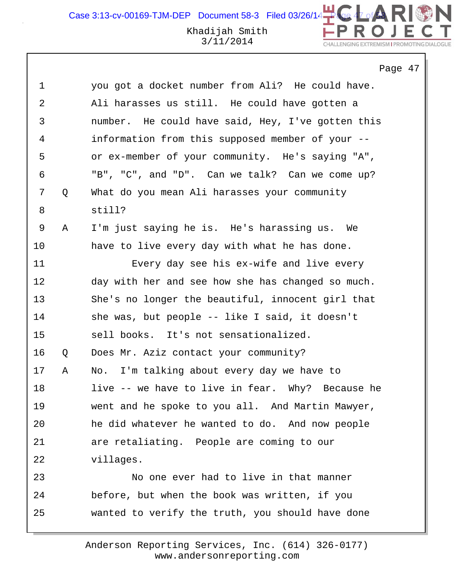Case 3:13-cv-00169-TJM-DEP Document 58-3 Filed 03/26/14

#### Khadijah Smith 3/11/2014

Page 47 1 you got a docket number from Ali? He could have. 2 Ali harasses us still. He could have gotten a 3 number. He could have said, Hey, I've gotten this 4 information from this supposed member of your -- 5 or ex-member of your community. He's saying "A", 6 "B", "C", and "D". Can we talk? Can we come up? 7 Q What do you mean Ali harasses your community 8 still? 9 A I'm just saying he is. He's harassing us. We 10 have to live every day with what he has done. 11 Every day see his ex-wife and live every 12 day with her and see how she has changed so much. 13 She's no longer the beautiful, innocent girl that 14 she was, but people -- like I said, it doesn't 15 sell books. It's not sensationalized. 16 Q Does Mr. Aziz contact your community? 17 A No. I'm talking about every day we have to 18 live -- we have to live in fear. Why? Because he 19 went and he spoke to you all. And Martin Mawyer, 20 he did whatever he wanted to do. And now people 21 are retaliating. People are coming to our 22 villages. 23 No one ever had to live in that manner 24 before, but when the book was written, if you 25 wanted to verify the truth, you should have done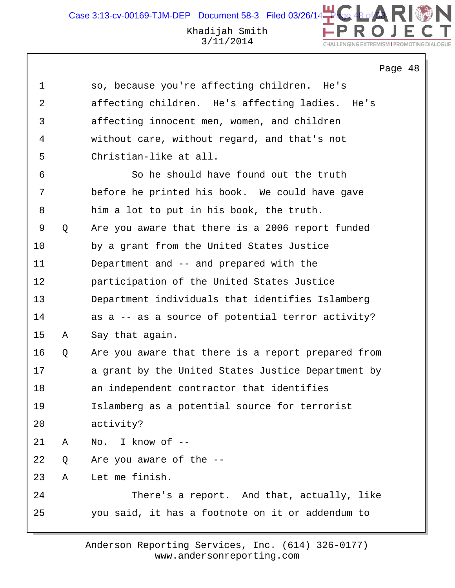Page 48

| 1  |   | so, because you're affecting children. He's        |
|----|---|----------------------------------------------------|
| 2  |   | affecting children. He's affecting ladies. He's    |
| 3  |   | affecting innocent men, women, and children        |
| 4  |   | without care, without regard, and that's not       |
| 5  |   | Christian-like at all.                             |
| 6  |   | So he should have found out the truth              |
| 7  |   | before he printed his book. We could have gave     |
| 8  |   | him a lot to put in his book, the truth.           |
| 9  | Q | Are you aware that there is a 2006 report funded   |
| 10 |   | by a grant from the United States Justice          |
| 11 |   | Department and -- and prepared with the            |
| 12 |   | participation of the United States Justice         |
| 13 |   | Department individuals that identifies Islamberg   |
| 14 |   | as a -- as a source of potential terror activity?  |
| 15 | Α | Say that again.                                    |
| 16 | Q | Are you aware that there is a report prepared from |
| 17 |   | a grant by the United States Justice Department by |
| 18 |   | an independent contractor that identifies          |
| 19 |   | Islamberg as a potential source for terrorist      |
| 20 |   | activity?                                          |
| 21 | Α | No. I know of --                                   |
| 22 | Q | Are you aware of the --                            |
| 23 | Α | Let me finish.                                     |
| 24 |   | There's a report. And that, actually, like         |
| 25 |   | you said, it has a footnote on it or addendum to   |
|    |   |                                                    |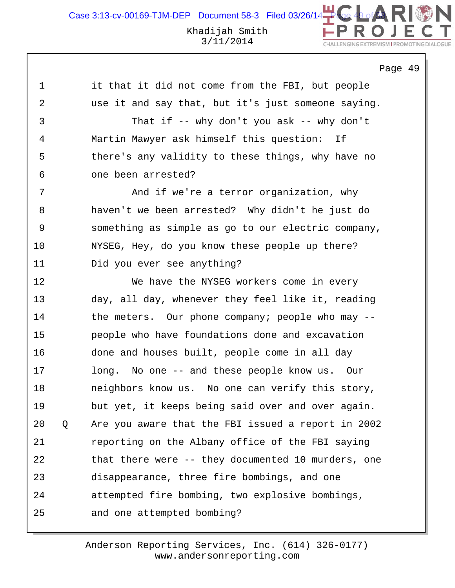Page 49

1 it that it did not come from the FBI, but people 2 use it and say that, but it's just someone saying.

3 That if -- why don't you ask -- why don't 4 Martin Mawyer ask himself this question: If 5 there's any validity to these things, why have no 6 one been arrested?

7 And if we're a terror organization, why 8 haven't we been arrested? Why didn't he just do 9 something as simple as go to our electric company, 10 NYSEG, Hey, do you know these people up there? 11 Did you ever see anything?

12 We have the NYSEG workers come in every 13 day, all day, whenever they feel like it, reading 14 the meters. Our phone company; people who may -- 15 people who have foundations done and excavation 16 done and houses built, people come in all day 17 long. No one -- and these people know us. Our 18 neighbors know us. No one can verify this story, 19 but yet, it keeps being said over and over again. 20 Q Are you aware that the FBI issued a report in 2002 21 reporting on the Albany office of the FBI saying 22 that there were -- they documented 10 murders, one 23 disappearance, three fire bombings, and one 24 attempted fire bombing, two explosive bombings, 25 and one attempted bombing?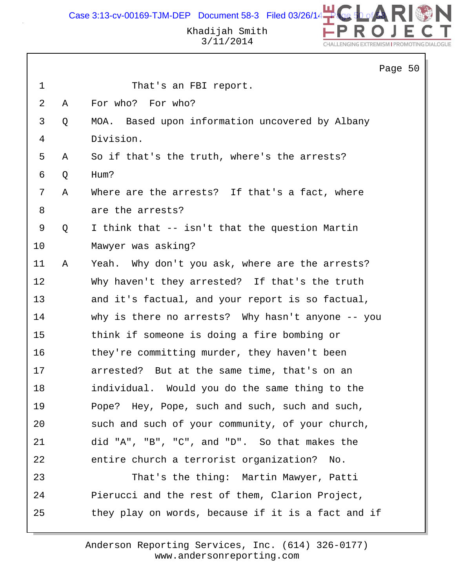Case 3:13-cv-00169-TJM-DEP Document 58-3 Filed 03/26/14 $\begin{array}{|l|} \hline \textbf{B} & \textbf{B} \end{array}$ 



Khadijah Smith 3/11/2014

|                |   |                                                    | Page 50 |  |
|----------------|---|----------------------------------------------------|---------|--|
| $\mathbf 1$    |   | That's an FBI report.                              |         |  |
| $\overline{2}$ | Α | For who? For who?                                  |         |  |
| 3              | Q | MOA. Based upon information uncovered by Albany    |         |  |
| 4              |   | Division.                                          |         |  |
| 5              | Α | So if that's the truth, where's the arrests?       |         |  |
| 6              | Q | Hum?                                               |         |  |
| 7              | Α | Where are the arrests? If that's a fact, where     |         |  |
| 8              |   | are the arrests?                                   |         |  |
| 9              | Q | I think that -- isn't that the question Martin     |         |  |
| 10             |   | Mawyer was asking?                                 |         |  |
| 11             | Α | Yeah. Why don't you ask, where are the arrests?    |         |  |
| 12             |   | Why haven't they arrested? If that's the truth     |         |  |
| 13             |   | and it's factual, and your report is so factual,   |         |  |
| 14             |   | why is there no arrests? Why hasn't anyone -- you  |         |  |
| 15             |   | think if someone is doing a fire bombing or        |         |  |
| 16             |   | they're committing murder, they haven't been       |         |  |
| 17             |   | arrested? But at the same time, that's on an       |         |  |
| 18             |   | individual. Would you do the same thing to the     |         |  |
| 19             |   | Pope? Hey, Pope, such and such, such and such,     |         |  |
| 20             |   | such and such of your community, of your church,   |         |  |
| 21             |   | did "A", "B", "C", and "D". So that makes the      |         |  |
| 22             |   | entire church a terrorist organization?<br>No.     |         |  |
| 23             |   | That's the thing: Martin Mawyer, Patti             |         |  |
| 24             |   | Pierucci and the rest of them, Clarion Project,    |         |  |
| 25             |   | they play on words, because if it is a fact and if |         |  |
|                |   |                                                    |         |  |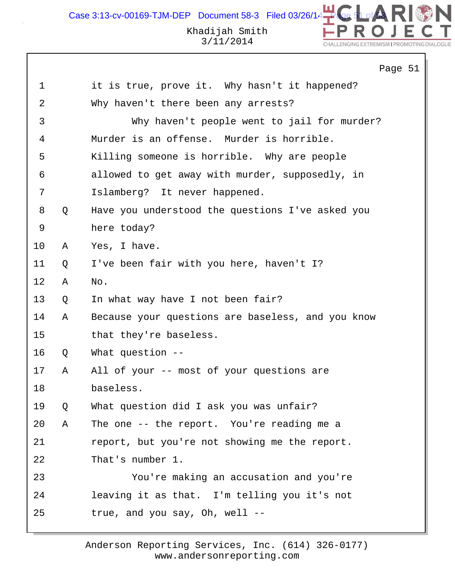N Case 3:13-cv-00169-TJM-DEP Document 58-3 Filed 03/26/14 $\begin{array}{|l|} \hline \end{array}$ Khadijah Smith 3/11/2014

CHALLENGING EXTREMISM I PROMOTING DIAL

|             |   | Page 51                                           |
|-------------|---|---------------------------------------------------|
| $\mathbf 1$ |   | it is true, prove it. Why hasn't it happened?     |
| 2           |   | Why haven't there been any arrests?               |
| 3           |   | Why haven't people went to jail for murder?       |
| 4           |   | Murder is an offense. Murder is horrible.         |
| 5           |   | Killing someone is horrible. Why are people       |
| 6           |   | allowed to get away with murder, supposedly, in   |
| 7           |   | Islamberg? It never happened.                     |
| 8           | Q | Have you understood the questions I've asked you  |
| 9           |   | here today?                                       |
| 10          | A | Yes, I have.                                      |
| 11          | Q | I've been fair with you here, haven't I?          |
| 12          | Α | No.                                               |
| 13          | Q | In what way have I not been fair?                 |
| 14          | Α | Because your questions are baseless, and you know |
| 15          |   | that they're baseless.                            |
| 16          | Q | What question $-$ -                               |
| 17          | Α | All of your -- most of your questions are         |
| 18          |   | baseless.                                         |
| 19          | Q | What question did I ask you was unfair?           |
| 20          | Α | The one -- the report. You're reading me a        |
| 21          |   | report, but you're not showing me the report.     |
| 22          |   | That's number 1.                                  |
| 23          |   | You're making an accusation and you're            |
| 24          |   | leaving it as that. I'm telling you it's not      |
| 25          |   | true, and you say, Oh, well --                    |
|             |   |                                                   |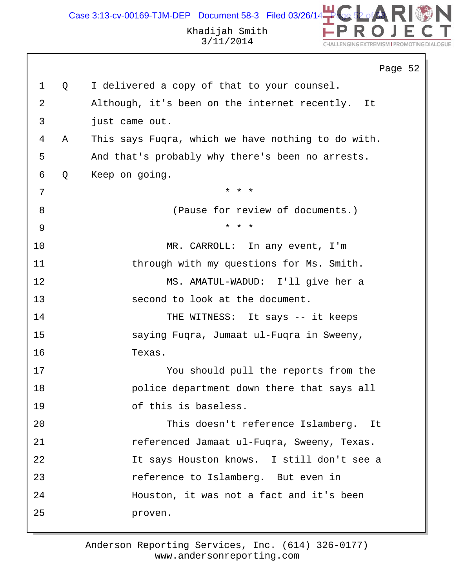# Khadijah Smith 3/11/2014

DN

CHALLENGING EXTREMISM I PROMOTING DIALOGUE

|              |   | Page 52                                             |
|--------------|---|-----------------------------------------------------|
| $\mathbf{1}$ | Q | I delivered a copy of that to your counsel.         |
| 2            |   | Although, it's been on the internet recently.<br>It |
| 3            |   | just came out.                                      |
| 4            | Α | This says Fugra, which we have nothing to do with.  |
| 5            |   | And that's probably why there's been no arrests.    |
| 6            | Q | Keep on going.                                      |
| 7            |   | * * *                                               |
| 8            |   | (Pause for review of documents.)                    |
| 9            |   | * * *                                               |
| 10           |   | MR. CARROLL: In any event, I'm                      |
| 11           |   | through with my questions for Ms. Smith.            |
| 12           |   | MS. AMATUL-WADUD: I'll give her a                   |
| 13           |   | second to look at the document.                     |
| 14           |   | THE WITNESS: It says -- it keeps                    |
| 15           |   | saying Fuqra, Jumaat ul-Fuqra in Sweeny,            |
| 16           |   | Texas.                                              |
| 17           |   | You should pull the reports from the                |
| 18           |   | police department down there that says all          |
| 19           |   | of this is baseless.                                |
| 20           |   | This doesn't reference Islamberg. It                |
| 21           |   | referenced Jamaat ul-Fuqra, Sweeny, Texas.          |
| 22           |   | It says Houston knows. I still don't see a          |
| 23           |   | reference to Islamberg. But even in                 |
| 24           |   | Houston, it was not a fact and it's been            |
| 25           |   | proven.                                             |
|              |   |                                                     |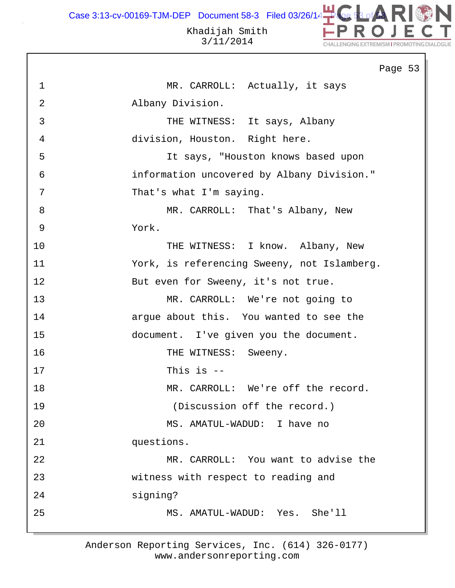Case 3:13-cv-00169-TJM-DEP Document 58-3 Filed 03/26/14

#### Khadijah Smith 3/11/2014

CHALLENGING EXTREMISM I PROMOTING DIA

Page 53 1 MR. CARROLL: Actually, it says 2 Albany Division. 3 THE WITNESS: It says, Albany 4 division, Houston. Right here. 5 It says, "Houston knows based upon 6 information uncovered by Albany Division." 7 That's what I'm saying. 8 MR. CARROLL: That's Albany, New 9 York. 10 THE WITNESS: I know. Albany, New 11 York, is referencing Sweeny, not Islamberg. 12 But even for Sweeny, it's not true. 13 MR. CARROLL: We're not going to 14 argue about this. You wanted to see the 15 document. I've given you the document. 16 THE WITNESS: Sweeny. 17 This is -- 18 MR. CARROLL: We're off the record. 19 (Discussion off the record.) 20 MS. AMATUL-WADUD: I have no 21 questions. 22 MR. CARROLL: You want to advise the 23 witness with respect to reading and 24 signing? 25 MS. AMATUL-WADUD: Yes. She'll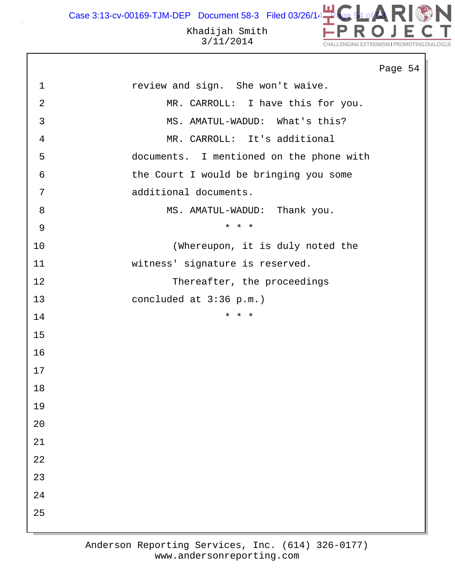Case 3:13-cv-00169-TJM-DEP Document 58-3 Filed 03/26/14 $\begin{array}{|l|} \hline \end{array}$ 

Khadijah Smith 3/11/2014

DN

٦

CHALLENGING EXTREMISM I PROMOTING DIALOGUE

|                |                                          | Page 54 |
|----------------|------------------------------------------|---------|
| $\mathbf{1}$   | review and sign. She won't waive.        |         |
| $\overline{2}$ | MR. CARROLL: I have this for you.        |         |
| $\mathfrak{Z}$ | MS. AMATUL-WADUD: What's this?           |         |
| $\overline{4}$ | MR. CARROLL: It's additional             |         |
| 5              | documents. I mentioned on the phone with |         |
| 6              | the Court I would be bringing you some   |         |
| 7              | additional documents.                    |         |
| $8\,$          | MS. AMATUL-WADUD: Thank you.             |         |
| $\mathsf 9$    | * * *                                    |         |
| 10             | (Whereupon, it is duly noted the         |         |
| 11             | witness' signature is reserved.          |         |
| 12             | Thereafter, the proceedings              |         |
| 13             | concluded at 3:36 p.m.)                  |         |
| 14             | * * *                                    |         |
| 15             |                                          |         |
| 16             |                                          |         |
| 17             |                                          |         |
| 18             |                                          |         |
| 19             |                                          |         |
| 20             |                                          |         |
| 21             |                                          |         |
| 22             |                                          |         |
| 23             |                                          |         |
| 24             |                                          |         |
| 25             |                                          |         |
|                |                                          |         |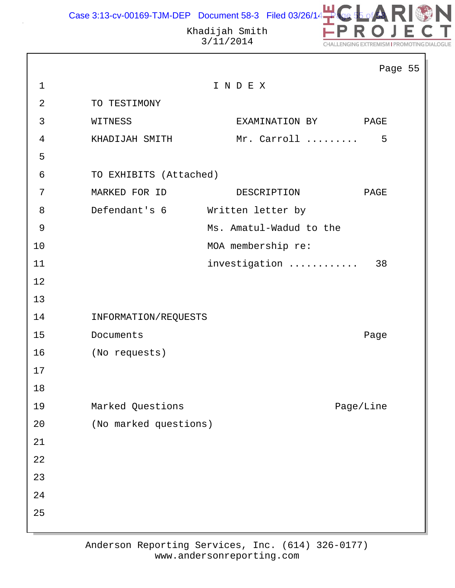

|                |                        |                         | Page 55   |  |
|----------------|------------------------|-------------------------|-----------|--|
| $\mathbf{1}$   |                        | INDEX                   |           |  |
| $\overline{2}$ | TO TESTIMONY           |                         |           |  |
| 3              | WITNESS                | EXAMINATION BY          | PAGE      |  |
| 4              | KHADIJAH SMITH         | Mr. Carroll             | 5         |  |
| 5              |                        |                         |           |  |
| 6              | TO EXHIBITS (Attached) |                         |           |  |
| 7              | MARKED FOR ID          | DESCRIPTION             | PAGE      |  |
| 8              | Defendant's 6          | Written letter by       |           |  |
| 9              |                        | Ms. Amatul-Wadud to the |           |  |
| 10             |                        | MOA membership re:      |           |  |
| 11             |                        | investigation           | 38        |  |
| 12             |                        |                         |           |  |
| 13             |                        |                         |           |  |
| 14             | INFORMATION/REQUESTS   |                         |           |  |
| 15             | Documents              |                         | Page      |  |
| 16             | (No requests)          |                         |           |  |
| 17             |                        |                         |           |  |
| 18             |                        |                         |           |  |
| 19             | Marked Questions       |                         | Page/Line |  |
| 20             | (No marked questions)  |                         |           |  |
| 21             |                        |                         |           |  |
| 22             |                        |                         |           |  |
| 23             |                        |                         |           |  |
| 24             |                        |                         |           |  |
| 25             |                        |                         |           |  |
|                |                        |                         |           |  |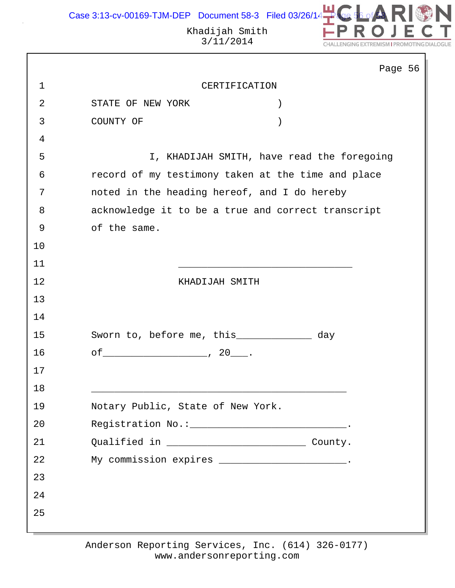

|                |                                                    | Page 56                                    |
|----------------|----------------------------------------------------|--------------------------------------------|
| $\mathbf 1$    | CERTIFICATION                                      |                                            |
| $\overline{2}$ | STATE OF NEW YORK                                  |                                            |
| 3              | COUNTY OF                                          |                                            |
| 4              |                                                    |                                            |
| 5              |                                                    | I, KHADIJAH SMITH, have read the foregoing |
| 6              | record of my testimony taken at the time and place |                                            |
| 7              | noted in the heading hereof, and I do hereby       |                                            |
| 8              | acknowledge it to be a true and correct transcript |                                            |
| 9              | of the same.                                       |                                            |
| 10             |                                                    |                                            |
| 11             |                                                    |                                            |
| 12             | KHADIJAH SMITH                                     |                                            |
| 13             |                                                    |                                            |
| 14             |                                                    |                                            |
| 15             | Sworn to, before me, this_____________ day         |                                            |
| 16             | $of$ 70 $\ldots$ 70 $\ldots$                       |                                            |
| 17             |                                                    |                                            |
| 18             |                                                    |                                            |
| 19             | Notary Public, State of New York.                  |                                            |
| 20             | Registration No.: ______________________________.  |                                            |
| 21             |                                                    |                                            |
| 22             | My commission expires _______________________.     |                                            |
| 23             |                                                    |                                            |
| 24             |                                                    |                                            |
| 25             |                                                    |                                            |
|                |                                                    |                                            |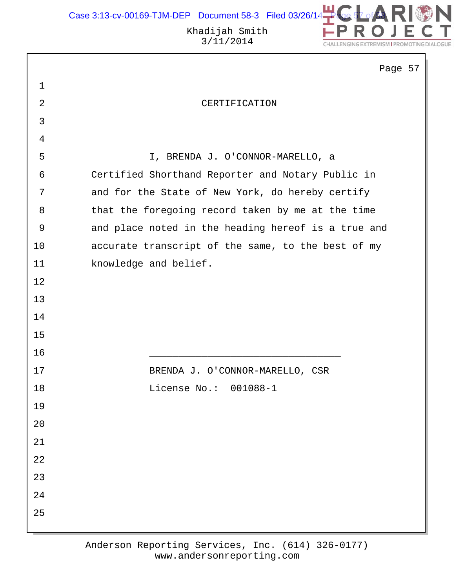

 $7$ 

|                | Page 5                                              |
|----------------|-----------------------------------------------------|
| $\mathbf 1$    |                                                     |
| $\overline{2}$ | CERTIFICATION                                       |
| $\mathbf{3}$   |                                                     |
| $\overline{4}$ |                                                     |
| 5              | I, BRENDA J. O'CONNOR-MARELLO, a                    |
| 6              | Certified Shorthand Reporter and Notary Public in   |
| 7              | and for the State of New York, do hereby certify    |
| 8              | that the foregoing record taken by me at the time   |
| 9              | and place noted in the heading hereof is a true and |
| 10             | accurate transcript of the same, to the best of my  |
| 11             | knowledge and belief.                               |
| 12             |                                                     |
| 13             |                                                     |
| 14             |                                                     |
| 15             |                                                     |
| 16             |                                                     |
| 17             | BRENDA J. O'CONNOR-MARELLO, CSR                     |
| 18             | License $No.: 001088-1$                             |
| 19             |                                                     |
| $20$           |                                                     |
| 21             |                                                     |
| 22             |                                                     |
| 23             |                                                     |
| 24             |                                                     |
| 25             |                                                     |
|                |                                                     |